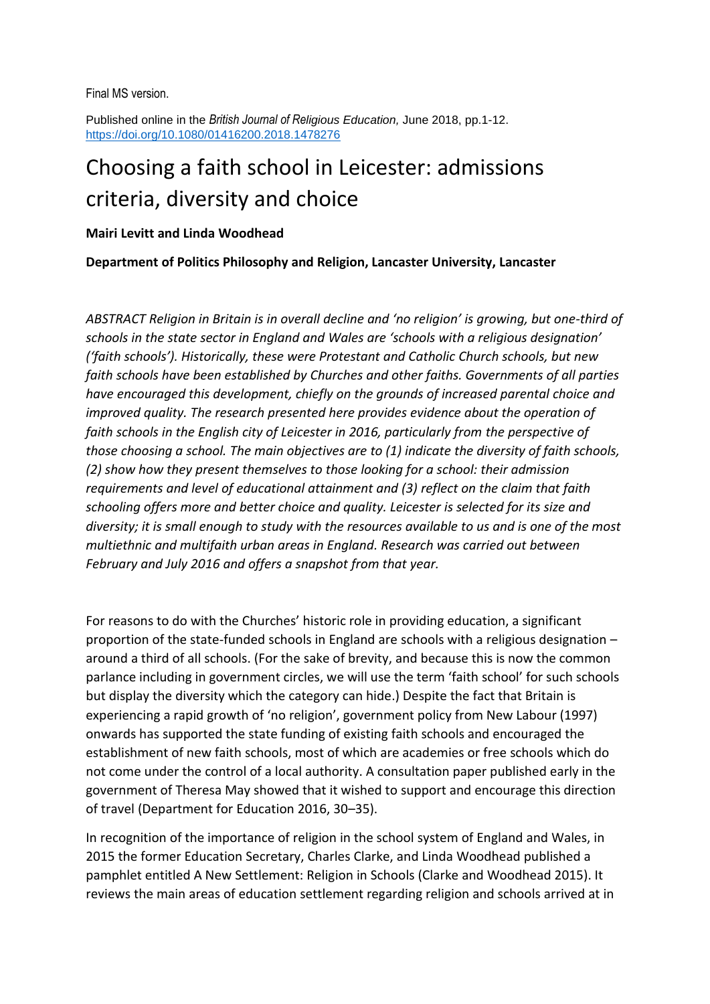Final MS version.

Published online in the *British Journal of Religious Education,* June 2018, pp.1-12. <https://doi.org/10.1080/01416200.2018.1478276>

# Choosing a faith school in Leicester: admissions criteria, diversity and choice

## **Mairi Levitt and Linda Woodhead**

**Department of Politics Philosophy and Religion, Lancaster University, Lancaster** 

*ABSTRACT Religion in Britain is in overall decline and 'no religion' is growing, but one-third of schools in the state sector in England and Wales are 'schools with a religious designation' ('faith schools'). Historically, these were Protestant and Catholic Church schools, but new faith schools have been established by Churches and other faiths. Governments of all parties have encouraged this development, chiefly on the grounds of increased parental choice and improved quality. The research presented here provides evidence about the operation of faith schools in the English city of Leicester in 2016, particularly from the perspective of those choosing a school. The main objectives are to (1) indicate the diversity of faith schools, (2) show how they present themselves to those looking for a school: their admission requirements and level of educational attainment and (3) reflect on the claim that faith schooling offers more and better choice and quality. Leicester is selected for its size and diversity; it is small enough to study with the resources available to us and is one of the most multiethnic and multifaith urban areas in England. Research was carried out between February and July 2016 and offers a snapshot from that year.* 

For reasons to do with the Churches' historic role in providing education, a significant proportion of the state-funded schools in England are schools with a religious designation – around a third of all schools. (For the sake of brevity, and because this is now the common parlance including in government circles, we will use the term 'faith school' for such schools but display the diversity which the category can hide.) Despite the fact that Britain is experiencing a rapid growth of 'no religion', government policy from New Labour (1997) onwards has supported the state funding of existing faith schools and encouraged the establishment of new faith schools, most of which are academies or free schools which do not come under the control of a local authority. A consultation paper published early in the government of Theresa May showed that it wished to support and encourage this direction of travel (Department for Education 2016, 30–35).

In recognition of the importance of religion in the school system of England and Wales, in 2015 the former Education Secretary, Charles Clarke, and Linda Woodhead published a pamphlet entitled A New Settlement: Religion in Schools (Clarke and Woodhead 2015). It reviews the main areas of education settlement regarding religion and schools arrived at in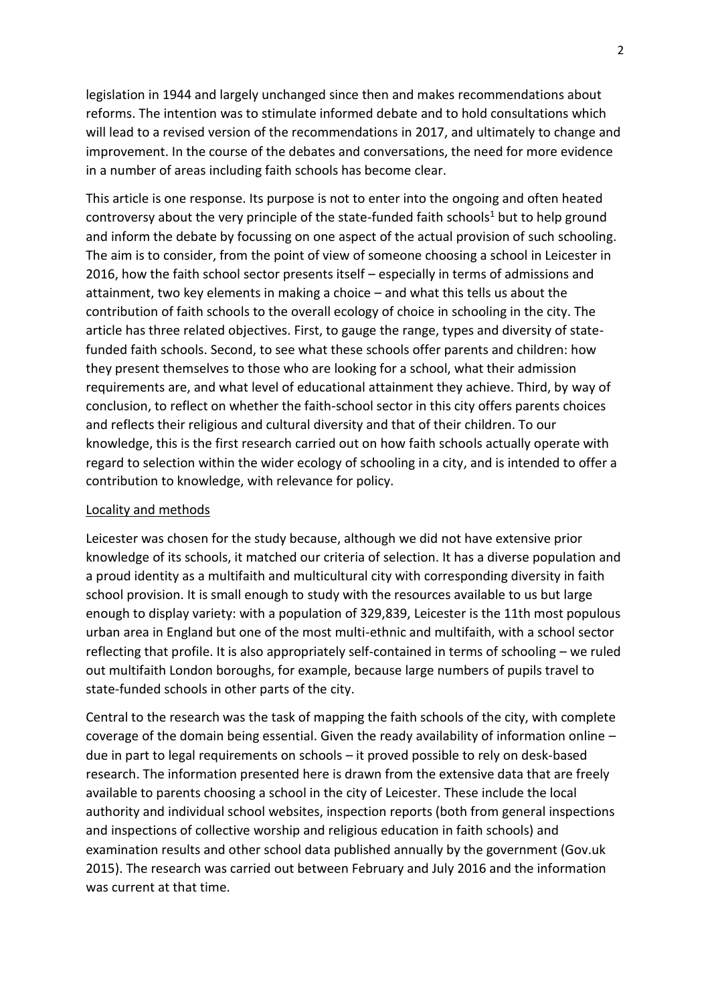legislation in 1944 and largely unchanged since then and makes recommendations about reforms. The intention was to stimulate informed debate and to hold consultations which will lead to a revised version of the recommendations in 2017, and ultimately to change and improvement. In the course of the debates and conversations, the need for more evidence in a number of areas including faith schools has become clear.

This article is one response. Its purpose is not to enter into the ongoing and often heated controversy about the very principle of the state-funded faith schools<sup>1</sup> but to help ground and inform the debate by focussing on one aspect of the actual provision of such schooling. The aim is to consider, from the point of view of someone choosing a school in Leicester in 2016, how the faith school sector presents itself – especially in terms of admissions and attainment, two key elements in making a choice – and what this tells us about the contribution of faith schools to the overall ecology of choice in schooling in the city. The article has three related objectives. First, to gauge the range, types and diversity of statefunded faith schools. Second, to see what these schools offer parents and children: how they present themselves to those who are looking for a school, what their admission requirements are, and what level of educational attainment they achieve. Third, by way of conclusion, to reflect on whether the faith-school sector in this city offers parents choices and reflects their religious and cultural diversity and that of their children. To our knowledge, this is the first research carried out on how faith schools actually operate with regard to selection within the wider ecology of schooling in a city, and is intended to offer a contribution to knowledge, with relevance for policy.

#### Locality and methods

Leicester was chosen for the study because, although we did not have extensive prior knowledge of its schools, it matched our criteria of selection. It has a diverse population and a proud identity as a multifaith and multicultural city with corresponding diversity in faith school provision. It is small enough to study with the resources available to us but large enough to display variety: with a population of 329,839, Leicester is the 11th most populous urban area in England but one of the most multi-ethnic and multifaith, with a school sector reflecting that profile. It is also appropriately self-contained in terms of schooling – we ruled out multifaith London boroughs, for example, because large numbers of pupils travel to state-funded schools in other parts of the city.

Central to the research was the task of mapping the faith schools of the city, with complete coverage of the domain being essential. Given the ready availability of information online – due in part to legal requirements on schools – it proved possible to rely on desk-based research. The information presented here is drawn from the extensive data that are freely available to parents choosing a school in the city of Leicester. These include the local authority and individual school websites, inspection reports (both from general inspections and inspections of collective worship and religious education in faith schools) and examination results and other school data published annually by the government (Gov.uk 2015). The research was carried out between February and July 2016 and the information was current at that time.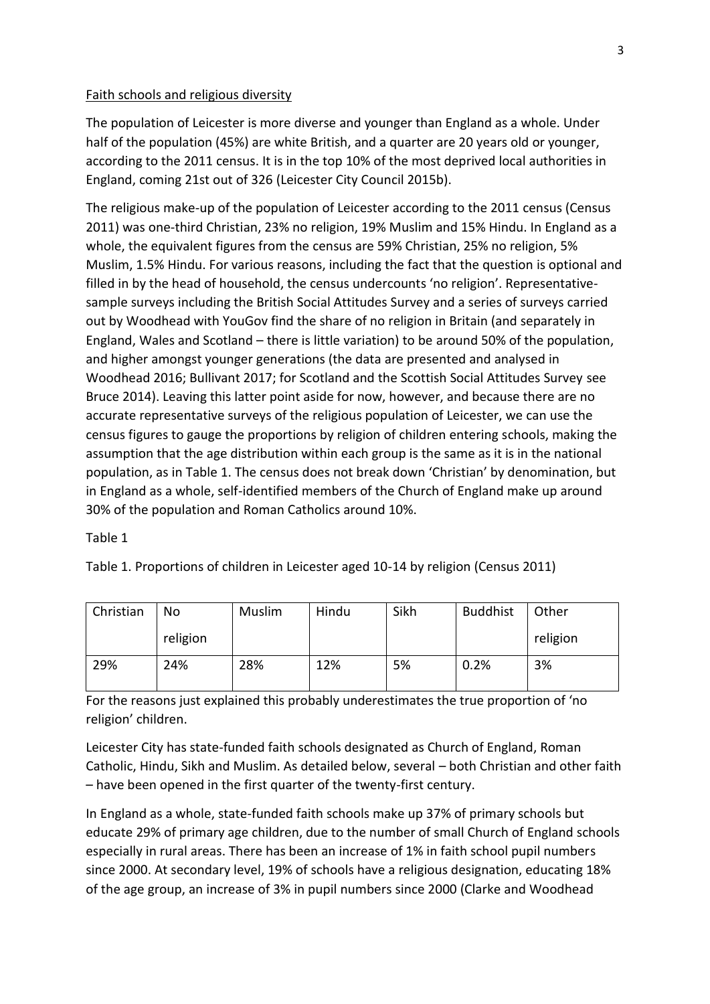## Faith schools and religious diversity

The population of Leicester is more diverse and younger than England as a whole. Under half of the population (45%) are white British, and a quarter are 20 years old or younger, according to the 2011 census. It is in the top 10% of the most deprived local authorities in England, coming 21st out of 326 (Leicester City Council 2015b).

The religious make-up of the population of Leicester according to the 2011 census (Census 2011) was one-third Christian, 23% no religion, 19% Muslim and 15% Hindu. In England as a whole, the equivalent figures from the census are 59% Christian, 25% no religion, 5% Muslim, 1.5% Hindu. For various reasons, including the fact that the question is optional and filled in by the head of household, the census undercounts 'no religion'. Representativesample surveys including the British Social Attitudes Survey and a series of surveys carried out by Woodhead with YouGov find the share of no religion in Britain (and separately in England, Wales and Scotland – there is little variation) to be around 50% of the population, and higher amongst younger generations (the data are presented and analysed in Woodhead 2016; Bullivant 2017; for Scotland and the Scottish Social Attitudes Survey see Bruce 2014). Leaving this latter point aside for now, however, and because there are no accurate representative surveys of the religious population of Leicester, we can use the census figures to gauge the proportions by religion of children entering schools, making the assumption that the age distribution within each group is the same as it is in the national population, as in Table 1. The census does not break down 'Christian' by denomination, but in England as a whole, self-identified members of the Church of England make up around 30% of the population and Roman Catholics around 10%.

## Table 1

Table 1. Proportions of children in Leicester aged 10-14 by religion (Census 2011)

| Christian | No       | Muslim | Hindu | Sikh | <b>Buddhist</b> | Other    |
|-----------|----------|--------|-------|------|-----------------|----------|
|           | religion |        |       |      |                 | religion |
| 29%       | 24%      | 28%    | 12%   | 5%   | 0.2%            | 3%       |

For the reasons just explained this probably underestimates the true proportion of 'no religion' children.

Leicester City has state-funded faith schools designated as Church of England, Roman Catholic, Hindu, Sikh and Muslim. As detailed below, several – both Christian and other faith – have been opened in the first quarter of the twenty-first century.

In England as a whole, state-funded faith schools make up 37% of primary schools but educate 29% of primary age children, due to the number of small Church of England schools especially in rural areas. There has been an increase of 1% in faith school pupil numbers since 2000. At secondary level, 19% of schools have a religious designation, educating 18% of the age group, an increase of 3% in pupil numbers since 2000 (Clarke and Woodhead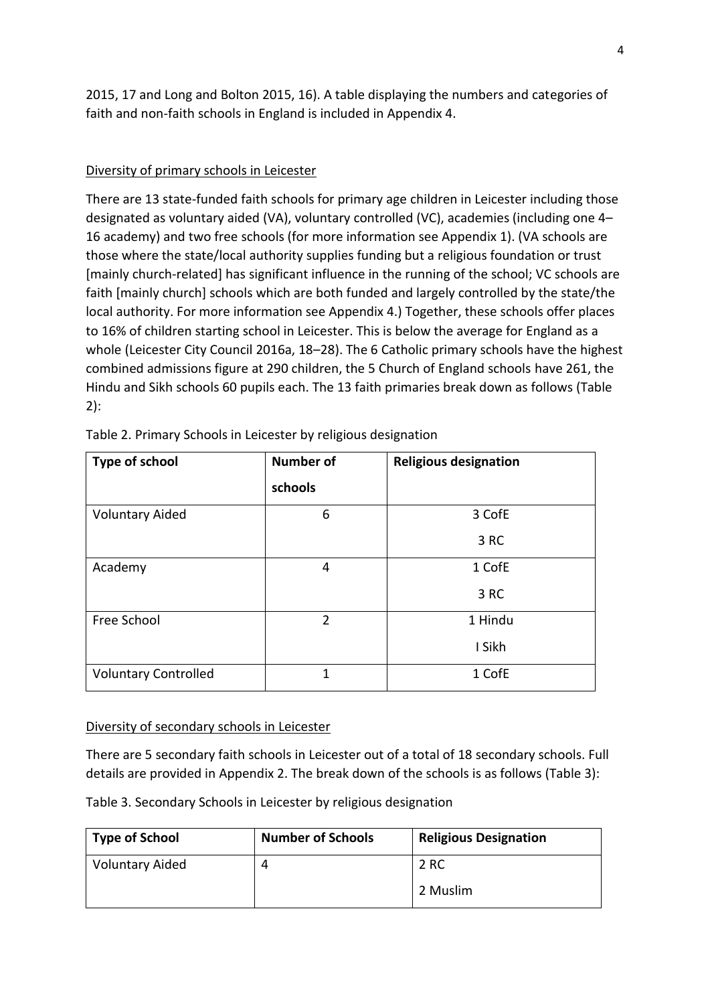2015, 17 and Long and Bolton 2015, 16). A table displaying the numbers and categories of faith and non-faith schools in England is included in Appendix 4.

# Diversity of primary schools in Leicester

There are 13 state-funded faith schools for primary age children in Leicester including those designated as voluntary aided (VA), voluntary controlled (VC), academies (including one 4– 16 academy) and two free schools (for more information see Appendix 1). (VA schools are those where the state/local authority supplies funding but a religious foundation or trust [mainly church-related] has significant influence in the running of the school; VC schools are faith [mainly church] schools which are both funded and largely controlled by the state/the local authority. For more information see Appendix 4.) Together, these schools offer places to 16% of children starting school in Leicester. This is below the average for England as a whole (Leicester City Council 2016a, 18–28). The 6 Catholic primary schools have the highest combined admissions figure at 290 children, the 5 Church of England schools have 261, the Hindu and Sikh schools 60 pupils each. The 13 faith primaries break down as follows (Table 2):

| Type of school              | <b>Number of</b> | <b>Religious designation</b> |
|-----------------------------|------------------|------------------------------|
|                             | schools          |                              |
| <b>Voluntary Aided</b>      | 6                | 3 CofE                       |
|                             |                  | 3 RC                         |
| Academy                     | 4                | 1 CofE                       |
|                             |                  | 3 RC                         |
| Free School                 | $\overline{2}$   | 1 Hindu                      |
|                             |                  | I Sikh                       |
| <b>Voluntary Controlled</b> | 1                | 1 CofE                       |

|  |  | Table 2. Primary Schools in Leicester by religious designation |  |  |
|--|--|----------------------------------------------------------------|--|--|
|  |  |                                                                |  |  |

## Diversity of secondary schools in Leicester

There are 5 secondary faith schools in Leicester out of a total of 18 secondary schools. Full details are provided in Appendix 2. The break down of the schools is as follows (Table 3):

Table 3. Secondary Schools in Leicester by religious designation

| <b>Type of School</b>  | <b>Number of Schools</b> | <b>Religious Designation</b> |
|------------------------|--------------------------|------------------------------|
| <b>Voluntary Aided</b> |                          | 2 RC                         |
|                        |                          | 2 Muslim                     |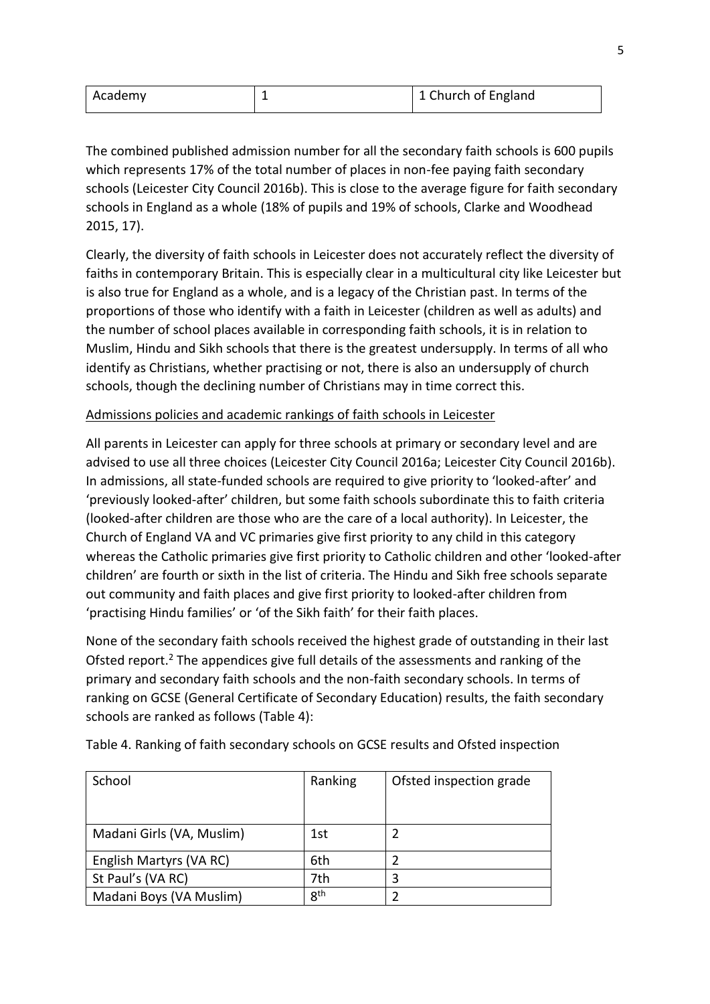| Academy |  | 1 Church of England |
|---------|--|---------------------|
|---------|--|---------------------|

The combined published admission number for all the secondary faith schools is 600 pupils which represents 17% of the total number of places in non-fee paying faith secondary schools (Leicester City Council 2016b). This is close to the average figure for faith secondary schools in England as a whole (18% of pupils and 19% of schools, Clarke and Woodhead 2015, 17).

Clearly, the diversity of faith schools in Leicester does not accurately reflect the diversity of faiths in contemporary Britain. This is especially clear in a multicultural city like Leicester but is also true for England as a whole, and is a legacy of the Christian past. In terms of the proportions of those who identify with a faith in Leicester (children as well as adults) and the number of school places available in corresponding faith schools, it is in relation to Muslim, Hindu and Sikh schools that there is the greatest undersupply. In terms of all who identify as Christians, whether practising or not, there is also an undersupply of church schools, though the declining number of Christians may in time correct this.

# Admissions policies and academic rankings of faith schools in Leicester

All parents in Leicester can apply for three schools at primary or secondary level and are advised to use all three choices (Leicester City Council 2016a; Leicester City Council 2016b). In admissions, all state-funded schools are required to give priority to 'looked-after' and 'previously looked-after' children, but some faith schools subordinate this to faith criteria (looked-after children are those who are the care of a local authority). In Leicester, the Church of England VA and VC primaries give first priority to any child in this category whereas the Catholic primaries give first priority to Catholic children and other 'looked-after children' are fourth or sixth in the list of criteria. The Hindu and Sikh free schools separate out community and faith places and give first priority to looked-after children from 'practising Hindu families' or 'of the Sikh faith' for their faith places.

None of the secondary faith schools received the highest grade of outstanding in their last Ofsted report.<sup>2</sup> The appendices give full details of the assessments and ranking of the primary and secondary faith schools and the non-faith secondary schools. In terms of ranking on GCSE (General Certificate of Secondary Education) results, the faith secondary schools are ranked as follows (Table 4):

| School                    | Ranking         | Ofsted inspection grade |
|---------------------------|-----------------|-------------------------|
|                           |                 |                         |
|                           |                 |                         |
| Madani Girls (VA, Muslim) | 1st             |                         |
| English Martyrs (VA RC)   | 6th             |                         |
| St Paul's (VA RC)         | 7th             |                         |
| Madani Boys (VA Muslim)   | 8 <sup>th</sup> |                         |

Table 4. Ranking of faith secondary schools on GCSE results and Ofsted inspection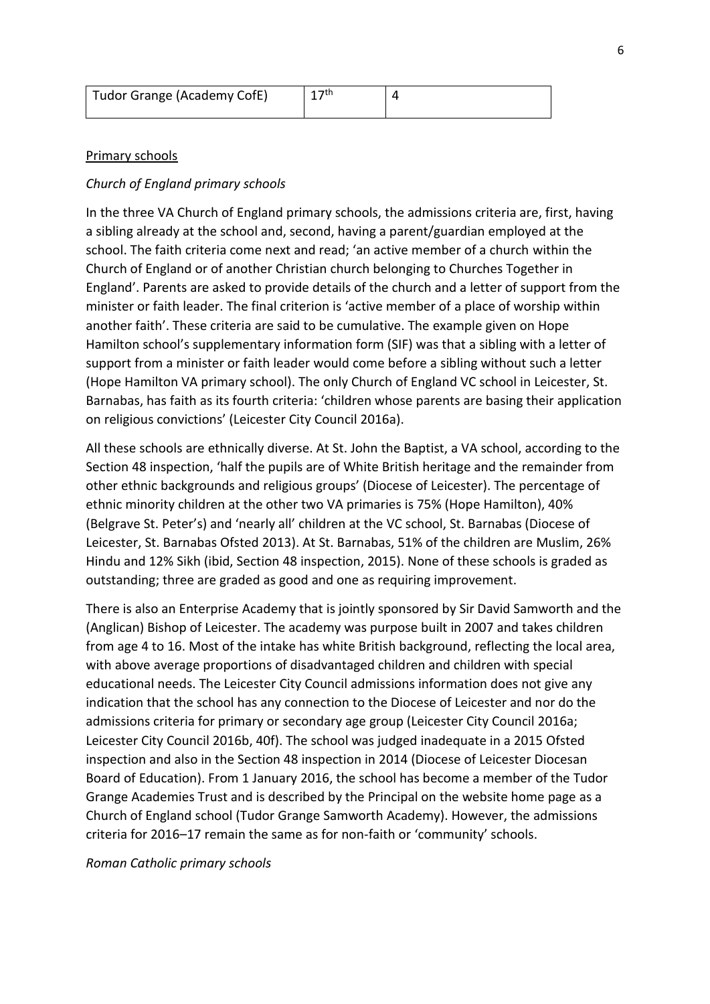| Tudor Grange (Academy CofE) | 1 7th |  |
|-----------------------------|-------|--|
|                             |       |  |

## Primary schools

# *Church of England primary schools*

In the three VA Church of England primary schools, the admissions criteria are, first, having a sibling already at the school and, second, having a parent/guardian employed at the school. The faith criteria come next and read; 'an active member of a church within the Church of England or of another Christian church belonging to Churches Together in England'. Parents are asked to provide details of the church and a letter of support from the minister or faith leader. The final criterion is 'active member of a place of worship within another faith'. These criteria are said to be cumulative. The example given on Hope Hamilton school's supplementary information form (SIF) was that a sibling with a letter of support from a minister or faith leader would come before a sibling without such a letter (Hope Hamilton VA primary school). The only Church of England VC school in Leicester, St. Barnabas, has faith as its fourth criteria: 'children whose parents are basing their application on religious convictions' (Leicester City Council 2016a).

All these schools are ethnically diverse. At St. John the Baptist, a VA school, according to the Section 48 inspection, 'half the pupils are of White British heritage and the remainder from other ethnic backgrounds and religious groups' (Diocese of Leicester). The percentage of ethnic minority children at the other two VA primaries is 75% (Hope Hamilton), 40% (Belgrave St. Peter's) and 'nearly all' children at the VC school, St. Barnabas (Diocese of Leicester, St. Barnabas Ofsted 2013). At St. Barnabas, 51% of the children are Muslim, 26% Hindu and 12% Sikh (ibid, Section 48 inspection, 2015). None of these schools is graded as outstanding; three are graded as good and one as requiring improvement.

There is also an Enterprise Academy that is jointly sponsored by Sir David Samworth and the (Anglican) Bishop of Leicester. The academy was purpose built in 2007 and takes children from age 4 to 16. Most of the intake has white British background, reflecting the local area, with above average proportions of disadvantaged children and children with special educational needs. The Leicester City Council admissions information does not give any indication that the school has any connection to the Diocese of Leicester and nor do the admissions criteria for primary or secondary age group (Leicester City Council 2016a; Leicester City Council 2016b, 40f). The school was judged inadequate in a 2015 Ofsted inspection and also in the Section 48 inspection in 2014 (Diocese of Leicester Diocesan Board of Education). From 1 January 2016, the school has become a member of the Tudor Grange Academies Trust and is described by the Principal on the website home page as a Church of England school (Tudor Grange Samworth Academy). However, the admissions criteria for 2016–17 remain the same as for non-faith or 'community' schools.

*Roman Catholic primary schools*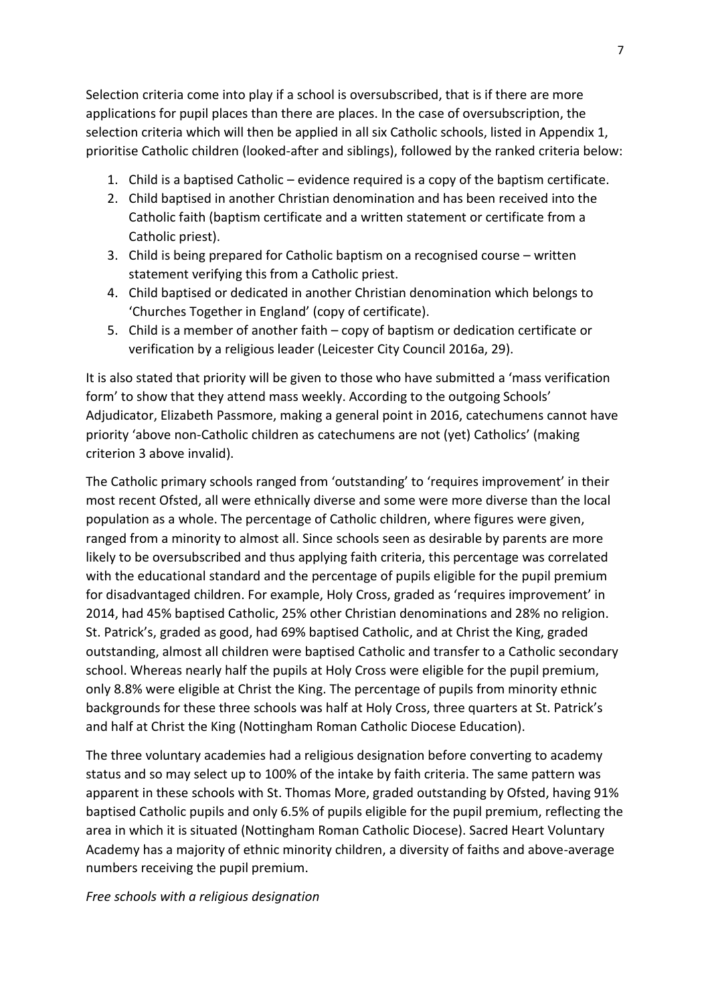Selection criteria come into play if a school is oversubscribed, that is if there are more applications for pupil places than there are places. In the case of oversubscription, the selection criteria which will then be applied in all six Catholic schools, listed in Appendix 1, prioritise Catholic children (looked-after and siblings), followed by the ranked criteria below:

- 1. Child is a baptised Catholic evidence required is a copy of the baptism certificate.
- 2. Child baptised in another Christian denomination and has been received into the Catholic faith (baptism certificate and a written statement or certificate from a Catholic priest).
- 3. Child is being prepared for Catholic baptism on a recognised course written statement verifying this from a Catholic priest.
- 4. Child baptised or dedicated in another Christian denomination which belongs to 'Churches Together in England' (copy of certificate).
- 5. Child is a member of another faith copy of baptism or dedication certificate or verification by a religious leader (Leicester City Council 2016a, 29).

It is also stated that priority will be given to those who have submitted a 'mass verification form' to show that they attend mass weekly. According to the outgoing Schools' Adjudicator, Elizabeth Passmore, making a general point in 2016, catechumens cannot have priority 'above non-Catholic children as catechumens are not (yet) Catholics' (making criterion 3 above invalid).

The Catholic primary schools ranged from 'outstanding' to 'requires improvement' in their most recent Ofsted, all were ethnically diverse and some were more diverse than the local population as a whole. The percentage of Catholic children, where figures were given, ranged from a minority to almost all. Since schools seen as desirable by parents are more likely to be oversubscribed and thus applying faith criteria, this percentage was correlated with the educational standard and the percentage of pupils eligible for the pupil premium for disadvantaged children. For example, Holy Cross, graded as 'requires improvement' in 2014, had 45% baptised Catholic, 25% other Christian denominations and 28% no religion. St. Patrick's, graded as good, had 69% baptised Catholic, and at Christ the King, graded outstanding, almost all children were baptised Catholic and transfer to a Catholic secondary school. Whereas nearly half the pupils at Holy Cross were eligible for the pupil premium, only 8.8% were eligible at Christ the King. The percentage of pupils from minority ethnic backgrounds for these three schools was half at Holy Cross, three quarters at St. Patrick's and half at Christ the King (Nottingham Roman Catholic Diocese Education).

The three voluntary academies had a religious designation before converting to academy status and so may select up to 100% of the intake by faith criteria. The same pattern was apparent in these schools with St. Thomas More, graded outstanding by Ofsted, having 91% baptised Catholic pupils and only 6.5% of pupils eligible for the pupil premium, reflecting the area in which it is situated (Nottingham Roman Catholic Diocese). Sacred Heart Voluntary Academy has a majority of ethnic minority children, a diversity of faiths and above-average numbers receiving the pupil premium.

# *Free schools with a religious designation*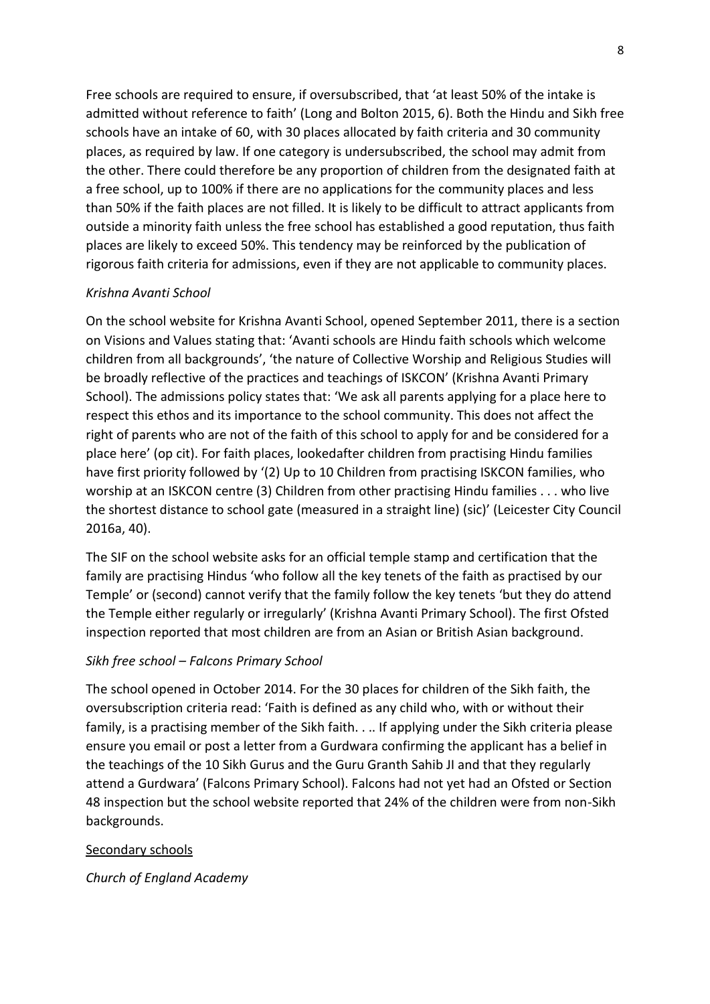Free schools are required to ensure, if oversubscribed, that 'at least 50% of the intake is admitted without reference to faith' (Long and Bolton 2015, 6). Both the Hindu and Sikh free schools have an intake of 60, with 30 places allocated by faith criteria and 30 community places, as required by law. If one category is undersubscribed, the school may admit from the other. There could therefore be any proportion of children from the designated faith at a free school, up to 100% if there are no applications for the community places and less than 50% if the faith places are not filled. It is likely to be difficult to attract applicants from outside a minority faith unless the free school has established a good reputation, thus faith places are likely to exceed 50%. This tendency may be reinforced by the publication of rigorous faith criteria for admissions, even if they are not applicable to community places.

# *Krishna Avanti School*

On the school website for Krishna Avanti School, opened September 2011, there is a section on Visions and Values stating that: 'Avanti schools are Hindu faith schools which welcome children from all backgrounds', 'the nature of Collective Worship and Religious Studies will be broadly reflective of the practices and teachings of ISKCON' (Krishna Avanti Primary School). The admissions policy states that: 'We ask all parents applying for a place here to respect this ethos and its importance to the school community. This does not affect the right of parents who are not of the faith of this school to apply for and be considered for a place here' (op cit). For faith places, lookedafter children from practising Hindu families have first priority followed by '(2) Up to 10 Children from practising ISKCON families, who worship at an ISKCON centre (3) Children from other practising Hindu families . . . who live the shortest distance to school gate (measured in a straight line) (sic)' (Leicester City Council 2016a, 40).

The SIF on the school website asks for an official temple stamp and certification that the family are practising Hindus 'who follow all the key tenets of the faith as practised by our Temple' or (second) cannot verify that the family follow the key tenets 'but they do attend the Temple either regularly or irregularly' (Krishna Avanti Primary School). The first Ofsted inspection reported that most children are from an Asian or British Asian background.

# *Sikh free school – Falcons Primary School*

The school opened in October 2014. For the 30 places for children of the Sikh faith, the oversubscription criteria read: 'Faith is defined as any child who, with or without their family, is a practising member of the Sikh faith. . .. If applying under the Sikh criteria please ensure you email or post a letter from a Gurdwara confirming the applicant has a belief in the teachings of the 10 Sikh Gurus and the Guru Granth Sahib JI and that they regularly attend a Gurdwara' (Falcons Primary School). Falcons had not yet had an Ofsted or Section 48 inspection but the school website reported that 24% of the children were from non-Sikh backgrounds.

# Secondary schools

*Church of England Academy*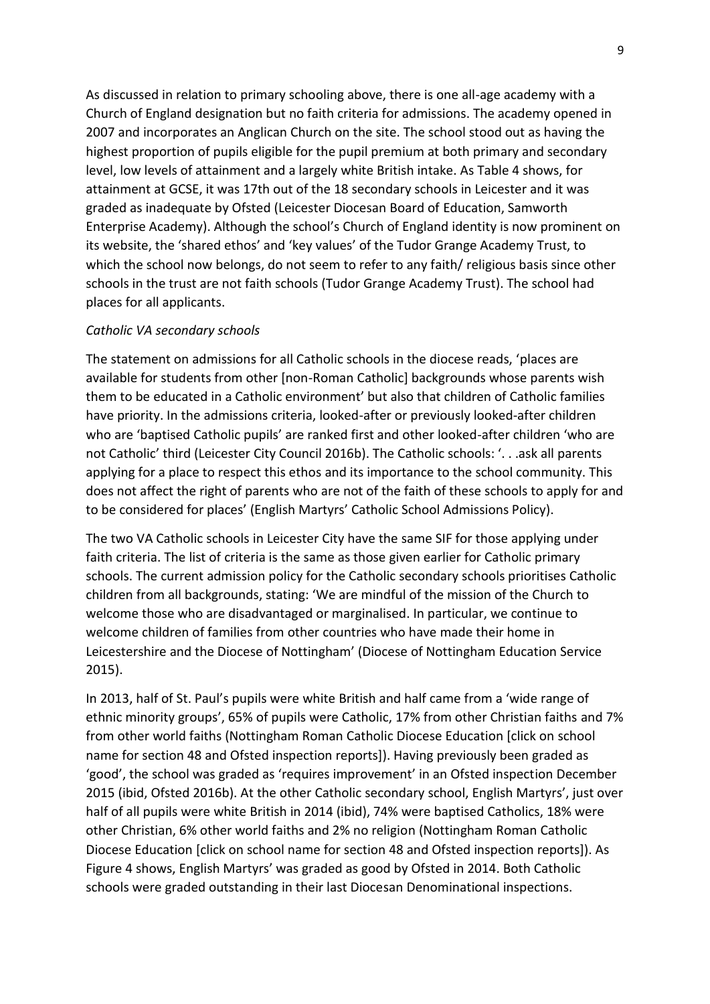As discussed in relation to primary schooling above, there is one all-age academy with a Church of England designation but no faith criteria for admissions. The academy opened in 2007 and incorporates an Anglican Church on the site. The school stood out as having the highest proportion of pupils eligible for the pupil premium at both primary and secondary level, low levels of attainment and a largely white British intake. As Table 4 shows, for attainment at GCSE, it was 17th out of the 18 secondary schools in Leicester and it was graded as inadequate by Ofsted (Leicester Diocesan Board of Education, Samworth Enterprise Academy). Although the school's Church of England identity is now prominent on its website, the 'shared ethos' and 'key values' of the Tudor Grange Academy Trust, to which the school now belongs, do not seem to refer to any faith/ religious basis since other schools in the trust are not faith schools (Tudor Grange Academy Trust). The school had places for all applicants.

#### *Catholic VA secondary schools*

The statement on admissions for all Catholic schools in the diocese reads, 'places are available for students from other [non-Roman Catholic] backgrounds whose parents wish them to be educated in a Catholic environment' but also that children of Catholic families have priority. In the admissions criteria, looked-after or previously looked-after children who are 'baptised Catholic pupils' are ranked first and other looked-after children 'who are not Catholic' third (Leicester City Council 2016b). The Catholic schools: '. . .ask all parents applying for a place to respect this ethos and its importance to the school community. This does not affect the right of parents who are not of the faith of these schools to apply for and to be considered for places' (English Martyrs' Catholic School Admissions Policy).

The two VA Catholic schools in Leicester City have the same SIF for those applying under faith criteria. The list of criteria is the same as those given earlier for Catholic primary schools. The current admission policy for the Catholic secondary schools prioritises Catholic children from all backgrounds, stating: 'We are mindful of the mission of the Church to welcome those who are disadvantaged or marginalised. In particular, we continue to welcome children of families from other countries who have made their home in Leicestershire and the Diocese of Nottingham' (Diocese of Nottingham Education Service 2015).

In 2013, half of St. Paul's pupils were white British and half came from a 'wide range of ethnic minority groups', 65% of pupils were Catholic, 17% from other Christian faiths and 7% from other world faiths (Nottingham Roman Catholic Diocese Education [click on school name for section 48 and Ofsted inspection reports]). Having previously been graded as 'good', the school was graded as 'requires improvement' in an Ofsted inspection December 2015 (ibid, Ofsted 2016b). At the other Catholic secondary school, English Martyrs', just over half of all pupils were white British in 2014 (ibid), 74% were baptised Catholics, 18% were other Christian, 6% other world faiths and 2% no religion (Nottingham Roman Catholic Diocese Education [click on school name for section 48 and Ofsted inspection reports]). As Figure 4 shows, English Martyrs' was graded as good by Ofsted in 2014. Both Catholic schools were graded outstanding in their last Diocesan Denominational inspections.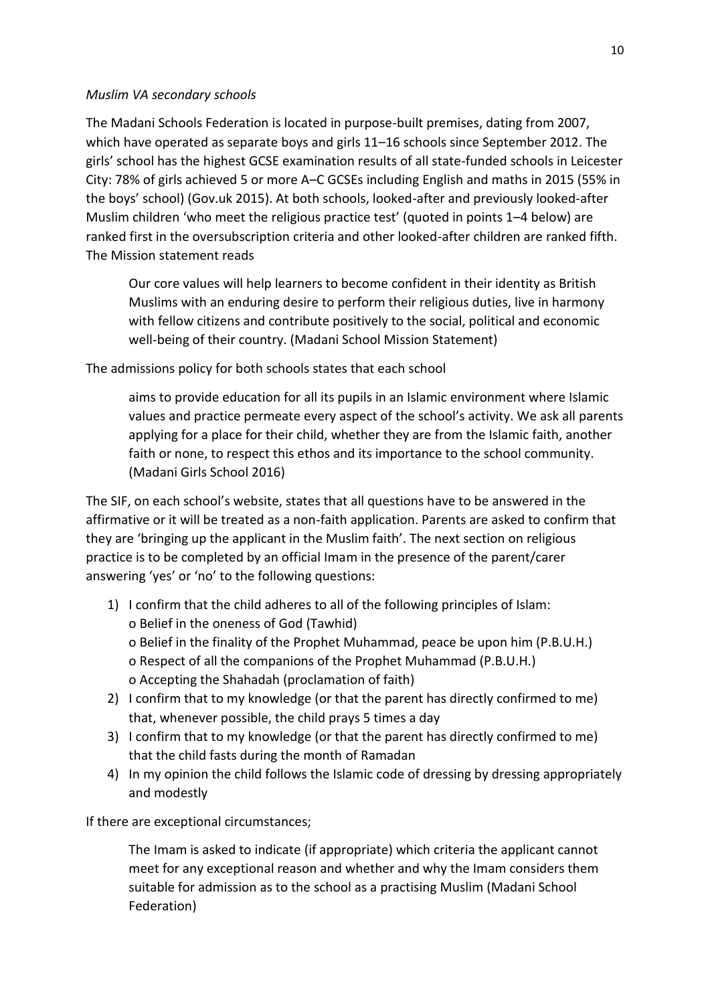## *Muslim VA secondary schools*

The Madani Schools Federation is located in purpose-built premises, dating from 2007, which have operated as separate boys and girls 11–16 schools since September 2012. The girls' school has the highest GCSE examination results of all state-funded schools in Leicester City: 78% of girls achieved 5 or more A–C GCSEs including English and maths in 2015 (55% in the boys' school) (Gov.uk 2015). At both schools, looked-after and previously looked-after Muslim children 'who meet the religious practice test' (quoted in points 1–4 below) are ranked first in the oversubscription criteria and other looked-after children are ranked fifth. The Mission statement reads

Our core values will help learners to become confident in their identity as British Muslims with an enduring desire to perform their religious duties, live in harmony with fellow citizens and contribute positively to the social, political and economic well-being of their country. (Madani School Mission Statement)

The admissions policy for both schools states that each school

aims to provide education for all its pupils in an Islamic environment where Islamic values and practice permeate every aspect of the school's activity. We ask all parents applying for a place for their child, whether they are from the Islamic faith, another faith or none, to respect this ethos and its importance to the school community. (Madani Girls School 2016)

The SIF, on each school's website, states that all questions have to be answered in the affirmative or it will be treated as a non-faith application. Parents are asked to confirm that they are 'bringing up the applicant in the Muslim faith'. The next section on religious practice is to be completed by an official Imam in the presence of the parent/carer answering 'yes' or 'no' to the following questions:

- 1) I confirm that the child adheres to all of the following principles of Islam: o Belief in the oneness of God (Tawhid) o Belief in the finality of the Prophet Muhammad, peace be upon him (P.B.U.H.)
	- o Respect of all the companions of the Prophet Muhammad (P.B.U.H.) o Accepting the Shahadah (proclamation of faith)
- 2) I confirm that to my knowledge (or that the parent has directly confirmed to me) that, whenever possible, the child prays 5 times a day
- 3) I confirm that to my knowledge (or that the parent has directly confirmed to me) that the child fasts during the month of Ramadan
- 4) In my opinion the child follows the Islamic code of dressing by dressing appropriately and modestly

If there are exceptional circumstances;

The Imam is asked to indicate (if appropriate) which criteria the applicant cannot meet for any exceptional reason and whether and why the Imam considers them suitable for admission as to the school as a practising Muslim (Madani School Federation)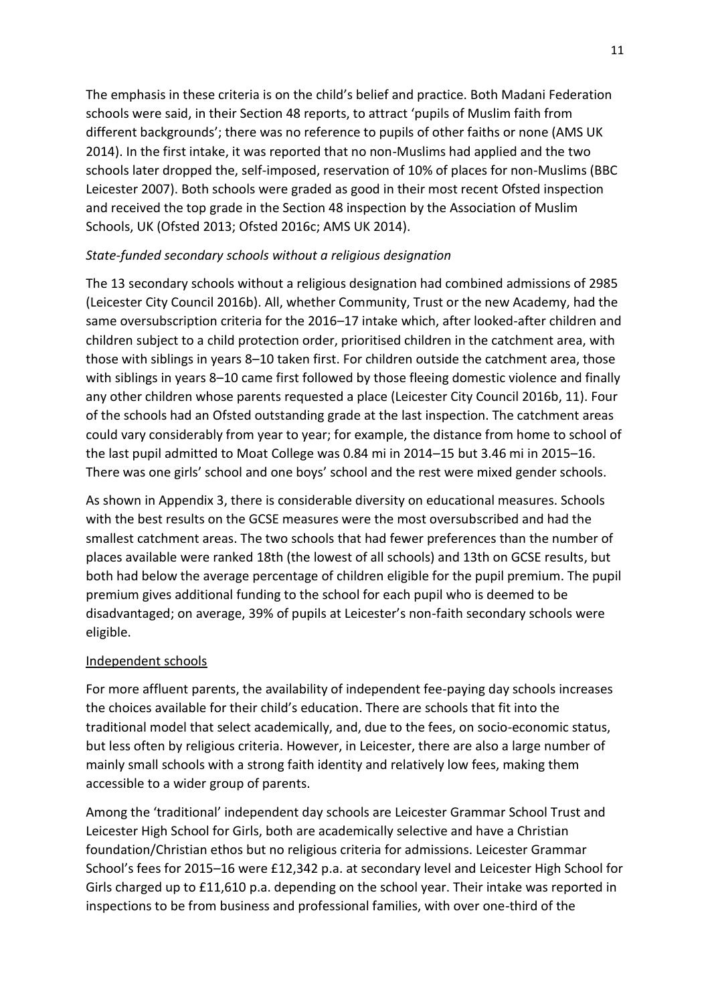The emphasis in these criteria is on the child's belief and practice. Both Madani Federation schools were said, in their Section 48 reports, to attract 'pupils of Muslim faith from different backgrounds'; there was no reference to pupils of other faiths or none (AMS UK 2014). In the first intake, it was reported that no non-Muslims had applied and the two schools later dropped the, self-imposed, reservation of 10% of places for non-Muslims (BBC Leicester 2007). Both schools were graded as good in their most recent Ofsted inspection and received the top grade in the Section 48 inspection by the Association of Muslim Schools, UK (Ofsted 2013; Ofsted 2016c; AMS UK 2014).

# *State-funded secondary schools without a religious designation*

The 13 secondary schools without a religious designation had combined admissions of 2985 (Leicester City Council 2016b). All, whether Community, Trust or the new Academy, had the same oversubscription criteria for the 2016–17 intake which, after looked-after children and children subject to a child protection order, prioritised children in the catchment area, with those with siblings in years 8–10 taken first. For children outside the catchment area, those with siblings in years 8–10 came first followed by those fleeing domestic violence and finally any other children whose parents requested a place (Leicester City Council 2016b, 11). Four of the schools had an Ofsted outstanding grade at the last inspection. The catchment areas could vary considerably from year to year; for example, the distance from home to school of the last pupil admitted to Moat College was 0.84 mi in 2014–15 but 3.46 mi in 2015–16. There was one girls' school and one boys' school and the rest were mixed gender schools.

As shown in Appendix 3, there is considerable diversity on educational measures. Schools with the best results on the GCSE measures were the most oversubscribed and had the smallest catchment areas. The two schools that had fewer preferences than the number of places available were ranked 18th (the lowest of all schools) and 13th on GCSE results, but both had below the average percentage of children eligible for the pupil premium. The pupil premium gives additional funding to the school for each pupil who is deemed to be disadvantaged; on average, 39% of pupils at Leicester's non-faith secondary schools were eligible.

## Independent schools

For more affluent parents, the availability of independent fee-paying day schools increases the choices available for their child's education. There are schools that fit into the traditional model that select academically, and, due to the fees, on socio-economic status, but less often by religious criteria. However, in Leicester, there are also a large number of mainly small schools with a strong faith identity and relatively low fees, making them accessible to a wider group of parents.

Among the 'traditional' independent day schools are Leicester Grammar School Trust and Leicester High School for Girls, both are academically selective and have a Christian foundation/Christian ethos but no religious criteria for admissions. Leicester Grammar School's fees for 2015–16 were £12,342 p.a. at secondary level and Leicester High School for Girls charged up to £11,610 p.a. depending on the school year. Their intake was reported in inspections to be from business and professional families, with over one-third of the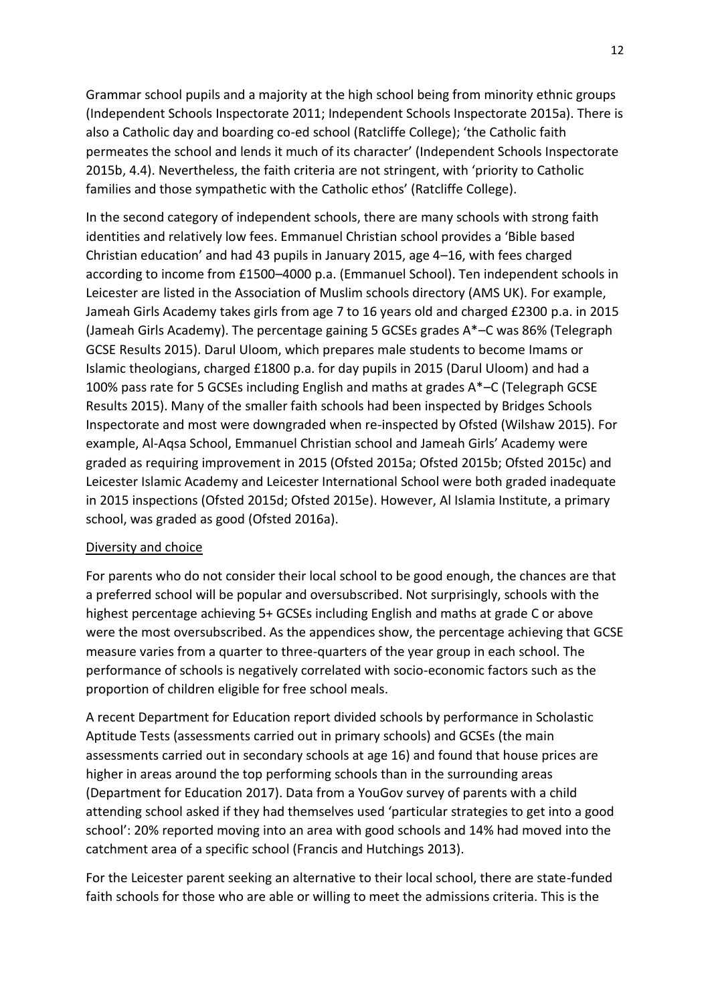Grammar school pupils and a majority at the high school being from minority ethnic groups (Independent Schools Inspectorate 2011; Independent Schools Inspectorate 2015a). There is also a Catholic day and boarding co-ed school (Ratcliffe College); 'the Catholic faith permeates the school and lends it much of its character' (Independent Schools Inspectorate 2015b, 4.4). Nevertheless, the faith criteria are not stringent, with 'priority to Catholic families and those sympathetic with the Catholic ethos' (Ratcliffe College).

In the second category of independent schools, there are many schools with strong faith identities and relatively low fees. Emmanuel Christian school provides a 'Bible based Christian education' and had 43 pupils in January 2015, age 4–16, with fees charged according to income from £1500–4000 p.a. (Emmanuel School). Ten independent schools in Leicester are listed in the Association of Muslim schools directory (AMS UK). For example, Jameah Girls Academy takes girls from age 7 to 16 years old and charged £2300 p.a. in 2015 (Jameah Girls Academy). The percentage gaining 5 GCSEs grades A\*–C was 86% (Telegraph GCSE Results 2015). Darul Uloom, which prepares male students to become Imams or Islamic theologians, charged £1800 p.a. for day pupils in 2015 (Darul Uloom) and had a 100% pass rate for 5 GCSEs including English and maths at grades A\*–C (Telegraph GCSE Results 2015). Many of the smaller faith schools had been inspected by Bridges Schools Inspectorate and most were downgraded when re-inspected by Ofsted (Wilshaw 2015). For example, Al-Aqsa School, Emmanuel Christian school and Jameah Girls' Academy were graded as requiring improvement in 2015 (Ofsted 2015a; Ofsted 2015b; Ofsted 2015c) and Leicester Islamic Academy and Leicester International School were both graded inadequate in 2015 inspections (Ofsted 2015d; Ofsted 2015e). However, Al Islamia Institute, a primary school, was graded as good (Ofsted 2016a).

## Diversity and choice

For parents who do not consider their local school to be good enough, the chances are that a preferred school will be popular and oversubscribed. Not surprisingly, schools with the highest percentage achieving 5+ GCSEs including English and maths at grade C or above were the most oversubscribed. As the appendices show, the percentage achieving that GCSE measure varies from a quarter to three-quarters of the year group in each school. The performance of schools is negatively correlated with socio-economic factors such as the proportion of children eligible for free school meals.

A recent Department for Education report divided schools by performance in Scholastic Aptitude Tests (assessments carried out in primary schools) and GCSEs (the main assessments carried out in secondary schools at age 16) and found that house prices are higher in areas around the top performing schools than in the surrounding areas (Department for Education 2017). Data from a YouGov survey of parents with a child attending school asked if they had themselves used 'particular strategies to get into a good school': 20% reported moving into an area with good schools and 14% had moved into the catchment area of a specific school (Francis and Hutchings 2013).

For the Leicester parent seeking an alternative to their local school, there are state-funded faith schools for those who are able or willing to meet the admissions criteria. This is the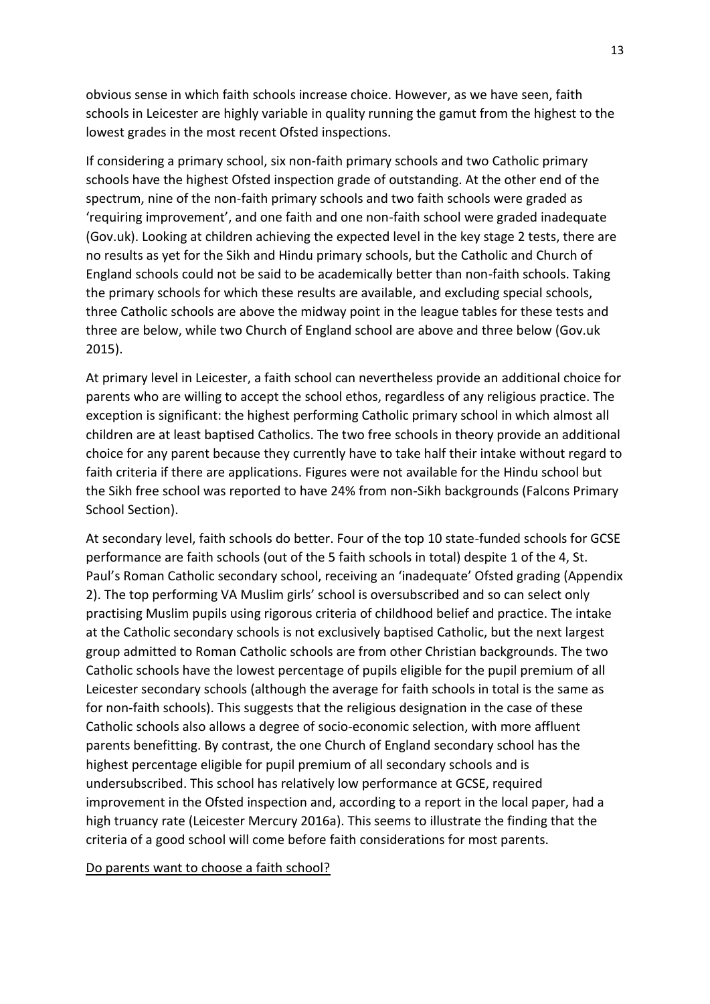obvious sense in which faith schools increase choice. However, as we have seen, faith schools in Leicester are highly variable in quality running the gamut from the highest to the lowest grades in the most recent Ofsted inspections.

If considering a primary school, six non-faith primary schools and two Catholic primary schools have the highest Ofsted inspection grade of outstanding. At the other end of the spectrum, nine of the non-faith primary schools and two faith schools were graded as 'requiring improvement', and one faith and one non-faith school were graded inadequate (Gov.uk). Looking at children achieving the expected level in the key stage 2 tests, there are no results as yet for the Sikh and Hindu primary schools, but the Catholic and Church of England schools could not be said to be academically better than non-faith schools. Taking the primary schools for which these results are available, and excluding special schools, three Catholic schools are above the midway point in the league tables for these tests and three are below, while two Church of England school are above and three below (Gov.uk 2015).

At primary level in Leicester, a faith school can nevertheless provide an additional choice for parents who are willing to accept the school ethos, regardless of any religious practice. The exception is significant: the highest performing Catholic primary school in which almost all children are at least baptised Catholics. The two free schools in theory provide an additional choice for any parent because they currently have to take half their intake without regard to faith criteria if there are applications. Figures were not available for the Hindu school but the Sikh free school was reported to have 24% from non-Sikh backgrounds (Falcons Primary School Section).

At secondary level, faith schools do better. Four of the top 10 state-funded schools for GCSE performance are faith schools (out of the 5 faith schools in total) despite 1 of the 4, St. Paul's Roman Catholic secondary school, receiving an 'inadequate' Ofsted grading (Appendix 2). The top performing VA Muslim girls' school is oversubscribed and so can select only practising Muslim pupils using rigorous criteria of childhood belief and practice. The intake at the Catholic secondary schools is not exclusively baptised Catholic, but the next largest group admitted to Roman Catholic schools are from other Christian backgrounds. The two Catholic schools have the lowest percentage of pupils eligible for the pupil premium of all Leicester secondary schools (although the average for faith schools in total is the same as for non-faith schools). This suggests that the religious designation in the case of these Catholic schools also allows a degree of socio-economic selection, with more affluent parents benefitting. By contrast, the one Church of England secondary school has the highest percentage eligible for pupil premium of all secondary schools and is undersubscribed. This school has relatively low performance at GCSE, required improvement in the Ofsted inspection and, according to a report in the local paper, had a high truancy rate (Leicester Mercury 2016a). This seems to illustrate the finding that the criteria of a good school will come before faith considerations for most parents.

## Do parents want to choose a faith school?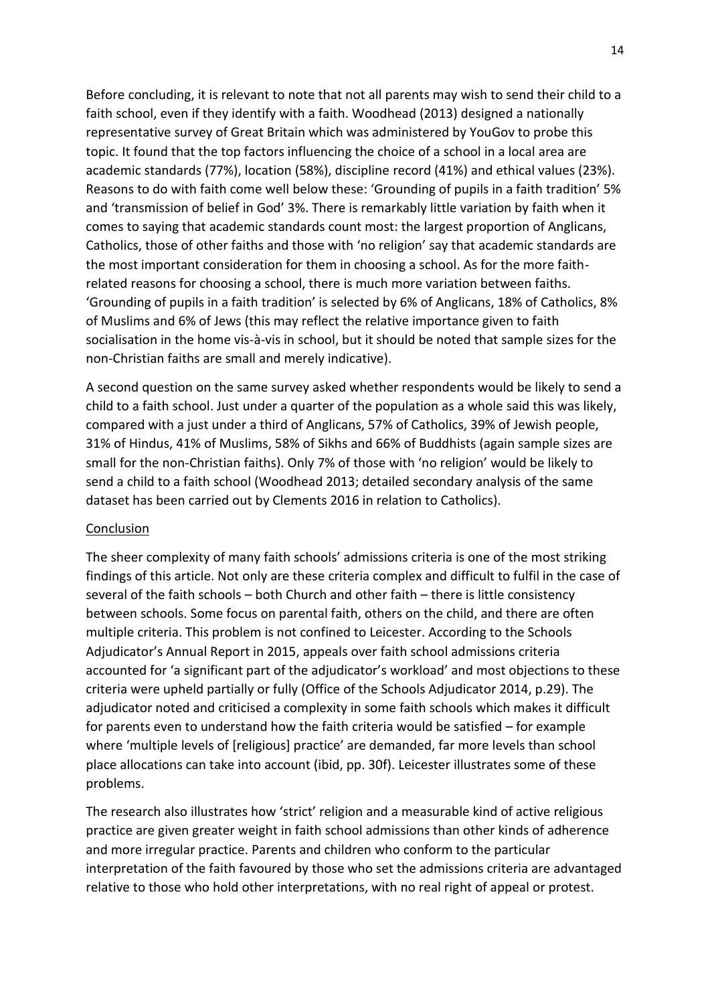Before concluding, it is relevant to note that not all parents may wish to send their child to a faith school, even if they identify with a faith. Woodhead (2013) designed a nationally representative survey of Great Britain which was administered by YouGov to probe this topic. It found that the top factors influencing the choice of a school in a local area are academic standards (77%), location (58%), discipline record (41%) and ethical values (23%). Reasons to do with faith come well below these: 'Grounding of pupils in a faith tradition' 5% and 'transmission of belief in God' 3%. There is remarkably little variation by faith when it comes to saying that academic standards count most: the largest proportion of Anglicans, Catholics, those of other faiths and those with 'no religion' say that academic standards are the most important consideration for them in choosing a school. As for the more faithrelated reasons for choosing a school, there is much more variation between faiths. 'Grounding of pupils in a faith tradition' is selected by 6% of Anglicans, 18% of Catholics, 8% of Muslims and 6% of Jews (this may reflect the relative importance given to faith socialisation in the home vis-à-vis in school, but it should be noted that sample sizes for the non-Christian faiths are small and merely indicative).

A second question on the same survey asked whether respondents would be likely to send a child to a faith school. Just under a quarter of the population as a whole said this was likely, compared with a just under a third of Anglicans, 57% of Catholics, 39% of Jewish people, 31% of Hindus, 41% of Muslims, 58% of Sikhs and 66% of Buddhists (again sample sizes are small for the non-Christian faiths). Only 7% of those with 'no religion' would be likely to send a child to a faith school (Woodhead 2013; detailed secondary analysis of the same dataset has been carried out by Clements 2016 in relation to Catholics).

#### Conclusion

The sheer complexity of many faith schools' admissions criteria is one of the most striking findings of this article. Not only are these criteria complex and difficult to fulfil in the case of several of the faith schools – both Church and other faith – there is little consistency between schools. Some focus on parental faith, others on the child, and there are often multiple criteria. This problem is not confined to Leicester. According to the Schools Adjudicator's Annual Report in 2015, appeals over faith school admissions criteria accounted for 'a significant part of the adjudicator's workload' and most objections to these criteria were upheld partially or fully (Office of the Schools Adjudicator 2014, p.29). The adjudicator noted and criticised a complexity in some faith schools which makes it difficult for parents even to understand how the faith criteria would be satisfied – for example where 'multiple levels of [religious] practice' are demanded, far more levels than school place allocations can take into account (ibid, pp. 30f). Leicester illustrates some of these problems.

The research also illustrates how 'strict' religion and a measurable kind of active religious practice are given greater weight in faith school admissions than other kinds of adherence and more irregular practice. Parents and children who conform to the particular interpretation of the faith favoured by those who set the admissions criteria are advantaged relative to those who hold other interpretations, with no real right of appeal or protest.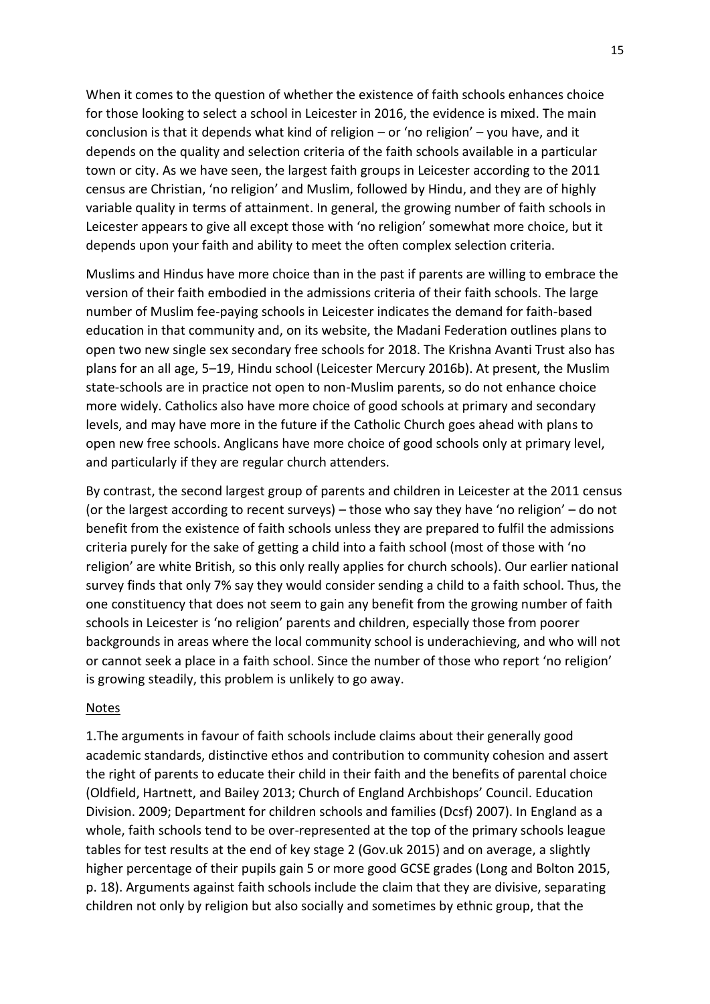When it comes to the question of whether the existence of faith schools enhances choice for those looking to select a school in Leicester in 2016, the evidence is mixed. The main conclusion is that it depends what kind of religion – or 'no religion' – you have, and it depends on the quality and selection criteria of the faith schools available in a particular town or city. As we have seen, the largest faith groups in Leicester according to the 2011 census are Christian, 'no religion' and Muslim, followed by Hindu, and they are of highly variable quality in terms of attainment. In general, the growing number of faith schools in Leicester appears to give all except those with 'no religion' somewhat more choice, but it depends upon your faith and ability to meet the often complex selection criteria.

Muslims and Hindus have more choice than in the past if parents are willing to embrace the version of their faith embodied in the admissions criteria of their faith schools. The large number of Muslim fee-paying schools in Leicester indicates the demand for faith-based education in that community and, on its website, the Madani Federation outlines plans to open two new single sex secondary free schools for 2018. The Krishna Avanti Trust also has plans for an all age, 5–19, Hindu school (Leicester Mercury 2016b). At present, the Muslim state-schools are in practice not open to non-Muslim parents, so do not enhance choice more widely. Catholics also have more choice of good schools at primary and secondary levels, and may have more in the future if the Catholic Church goes ahead with plans to open new free schools. Anglicans have more choice of good schools only at primary level, and particularly if they are regular church attenders.

By contrast, the second largest group of parents and children in Leicester at the 2011 census (or the largest according to recent surveys) – those who say they have 'no religion' – do not benefit from the existence of faith schools unless they are prepared to fulfil the admissions criteria purely for the sake of getting a child into a faith school (most of those with 'no religion' are white British, so this only really applies for church schools). Our earlier national survey finds that only 7% say they would consider sending a child to a faith school. Thus, the one constituency that does not seem to gain any benefit from the growing number of faith schools in Leicester is 'no religion' parents and children, especially those from poorer backgrounds in areas where the local community school is underachieving, and who will not or cannot seek a place in a faith school. Since the number of those who report 'no religion' is growing steadily, this problem is unlikely to go away.

#### Notes

1.The arguments in favour of faith schools include claims about their generally good academic standards, distinctive ethos and contribution to community cohesion and assert the right of parents to educate their child in their faith and the benefits of parental choice (Oldfield, Hartnett, and Bailey 2013; Church of England Archbishops' Council. Education Division. 2009; Department for children schools and families (Dcsf) 2007). In England as a whole, faith schools tend to be over-represented at the top of the primary schools league tables for test results at the end of key stage 2 (Gov.uk 2015) and on average, a slightly higher percentage of their pupils gain 5 or more good GCSE grades (Long and Bolton 2015, p. 18). Arguments against faith schools include the claim that they are divisive, separating children not only by religion but also socially and sometimes by ethnic group, that the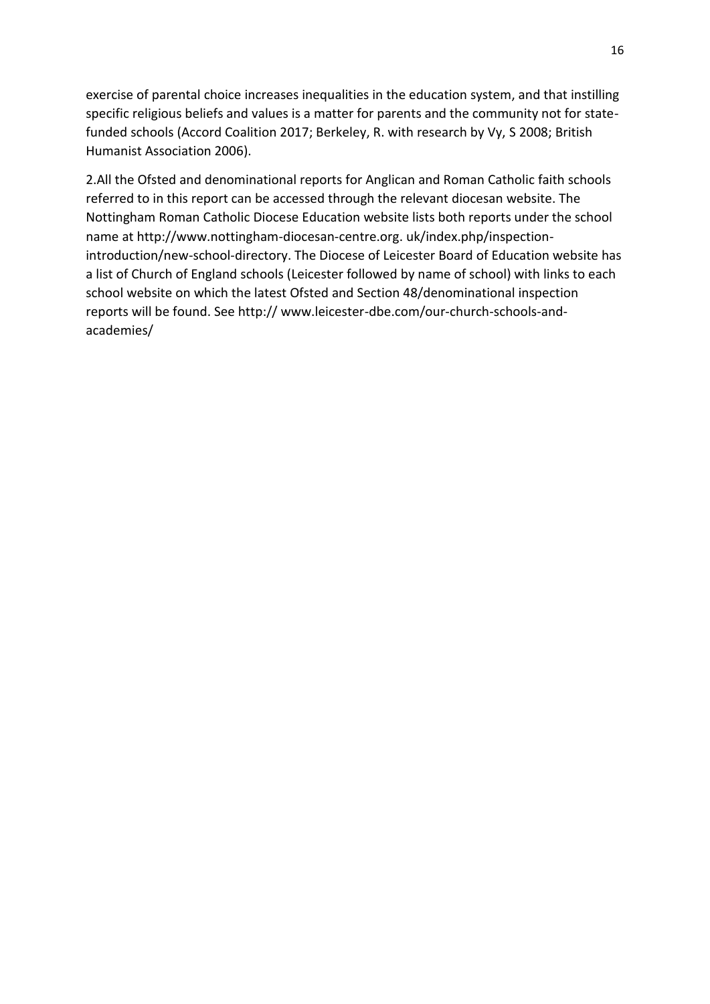exercise of parental choice increases inequalities in the education system, and that instilling specific religious beliefs and values is a matter for parents and the community not for statefunded schools (Accord Coalition 2017; Berkeley, R. with research by Vy, S 2008; British Humanist Association 2006).

2.All the Ofsted and denominational reports for Anglican and Roman Catholic faith schools referred to in this report can be accessed through the relevant diocesan website. The Nottingham Roman Catholic Diocese Education website lists both reports under the school name at http://www.nottingham-diocesan-centre.org. uk/index.php/inspectionintroduction/new-school-directory. The Diocese of Leicester Board of Education website has a list of Church of England schools (Leicester followed by name of school) with links to each school website on which the latest Ofsted and Section 48/denominational inspection reports will be found. See http:// www.leicester-dbe.com/our-church-schools-andacademies/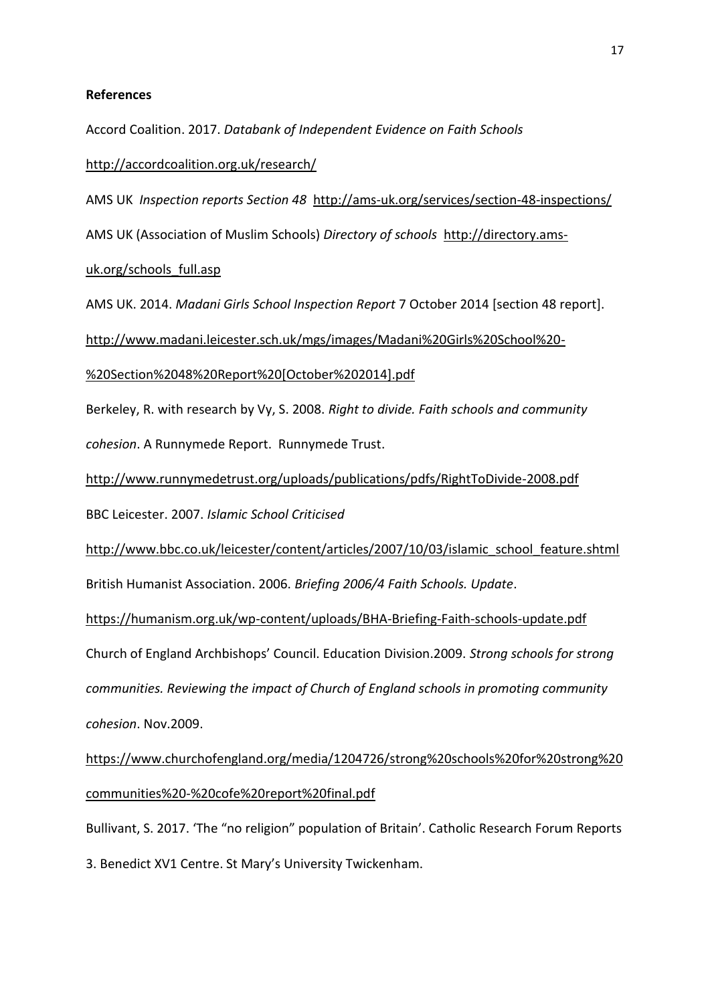#### **References**

Accord Coalition. 2017. *Databank of Independent Evidence on Faith Schools*

<http://accordcoalition.org.uk/research/>

AMS UK *Inspection reports Section 48*<http://ams-uk.org/services/section-48-inspections/>

AMS UK (Association of Muslim Schools) *Directory of schools* [http://directory.ams-](http://directory.ams-uk.org/schools_full.asp)

[uk.org/schools\\_full.asp](http://directory.ams-uk.org/schools_full.asp)

AMS UK. 2014. *Madani Girls School Inspection Report* 7 October 2014 [section 48 report].

[http://www.madani.leicester.sch.uk/mgs/images/Madani%20Girls%20School%20-](http://www.madani.leicester.sch.uk/mgs/images/Madani%20Girls%20School%20-%20Section%2048%20Report%20%5bOctober%202014%5d.pdf)

[%20Section%2048%20Report%20\[October%202014\].pdf](http://www.madani.leicester.sch.uk/mgs/images/Madani%20Girls%20School%20-%20Section%2048%20Report%20%5bOctober%202014%5d.pdf)

Berkeley, R. with research by Vy, S. 2008. *Right to divide. Faith schools and community cohesion*. A Runnymede Report. Runnymede Trust.

<http://www.runnymedetrust.org/uploads/publications/pdfs/RightToDivide-2008.pdf> BBC Leicester. 2007. *Islamic School Criticised*

[http://www.bbc.co.uk/leicester/content/articles/2007/10/03/islamic\\_school\\_feature.shtml](http://www.bbc.co.uk/leicester/content/articles/2007/10/03/islamic_school_feature.shtml) British Humanist Association. 2006. *Briefing 2006/4 Faith Schools. Update*.

<https://humanism.org.uk/wp-content/uploads/BHA-Briefing-Faith-schools-update.pdf> Church of England Archbishops' Council. Education Division.2009. *Strong schools for strong communities. Reviewing the impact of Church of England schools in promoting community cohesion*. Nov.2009.

[https://www.churchofengland.org/media/1204726/strong%20schools%20for%20strong%20](https://www.churchofengland.org/media/1204726/strong%20schools%20for%20strong%20communities%20-%20cofe%20report%20final.pdf) [communities%20-%20cofe%20report%20final.pdf](https://www.churchofengland.org/media/1204726/strong%20schools%20for%20strong%20communities%20-%20cofe%20report%20final.pdf)

Bullivant, S. 2017. 'The "no religion" population of Britain'. Catholic Research Forum Reports 3. Benedict XV1 Centre. St Mary's University Twickenham.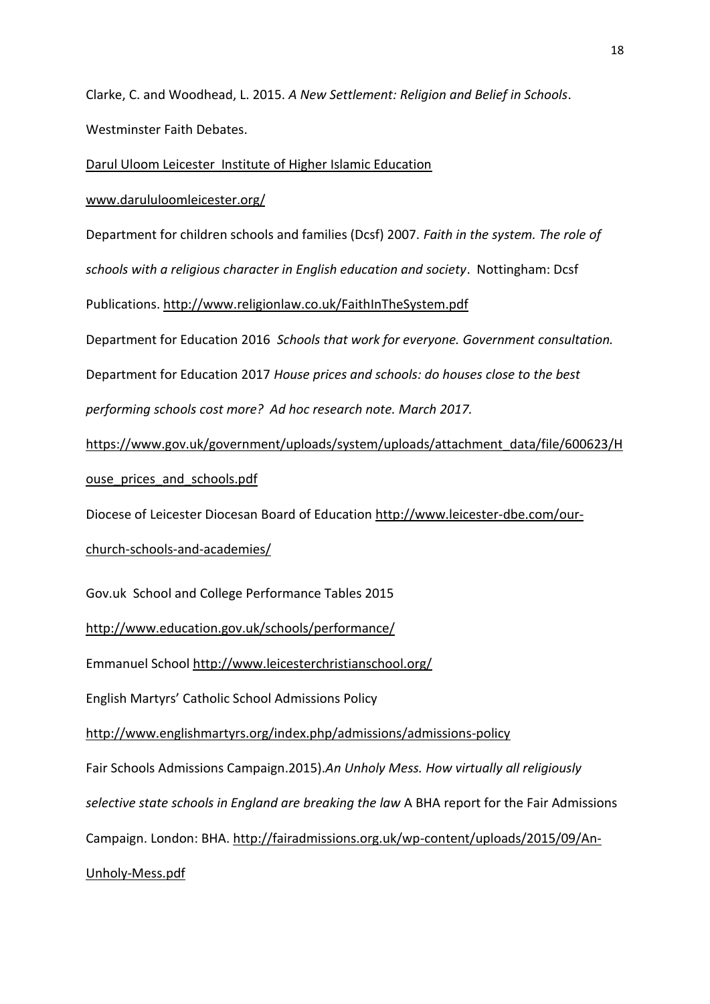Clarke, C. and Woodhead, L. 2015. *A New Settlement: Religion and Belief in Schools*.

Westminster Faith Debates.

[Darul Uloom Leicester Institute of Higher Islamic Education](http://www.darululoomleicester.org/)

[www.darululoomleicester.org/](http://www.darululoomleicester.org/)

Department for children schools and families (Dcsf) 2007. *Faith in the system. The role of* 

*schools with a religious character in English education and society*. Nottingham: Dcsf

Publications.<http://www.religionlaw.co.uk/FaithInTheSystem.pdf>

Department for Education 2016 *Schools that work for everyone. Government consultation.*

Department for Education 2017 *House prices and schools: do houses close to the best* 

*performing schools cost more? Ad hoc research note. March 2017.*

[https://www.gov.uk/government/uploads/system/uploads/attachment\\_data/file/600623/H](https://www.gov.uk/government/uploads/system/uploads/attachment_data/file/600623/House_prices_and_schools.pdf)

ouse prices and schools.pdf

Diocese of Leicester Diocesan Board of Education [http://www.leicester-dbe.com/our-](http://www.leicester-dbe.com/our-church-schools-and-academies/)

[church-schools-and-academies/](http://www.leicester-dbe.com/our-church-schools-and-academies/)

Gov.uk School and College Performance Tables 2015

<http://www.education.gov.uk/schools/performance/>

Emmanuel School<http://www.leicesterchristianschool.org/>

English Martyrs' Catholic School Admissions Policy

<http://www.englishmartyrs.org/index.php/admissions/admissions-policy>

Fair Schools Admissions Campaign.2015).*An Unholy Mess. How virtually all religiously selective state schools in England are breaking the law* A BHA report for the Fair Admissions Campaign. London: BHA. [http://fairadmissions.org.uk/wp-content/uploads/2015/09/An-](http://fairadmissions.org.uk/wp-content/uploads/2015/09/An-Unholy-Mess.pdf)[Unholy-Mess.pdf](http://fairadmissions.org.uk/wp-content/uploads/2015/09/An-Unholy-Mess.pdf)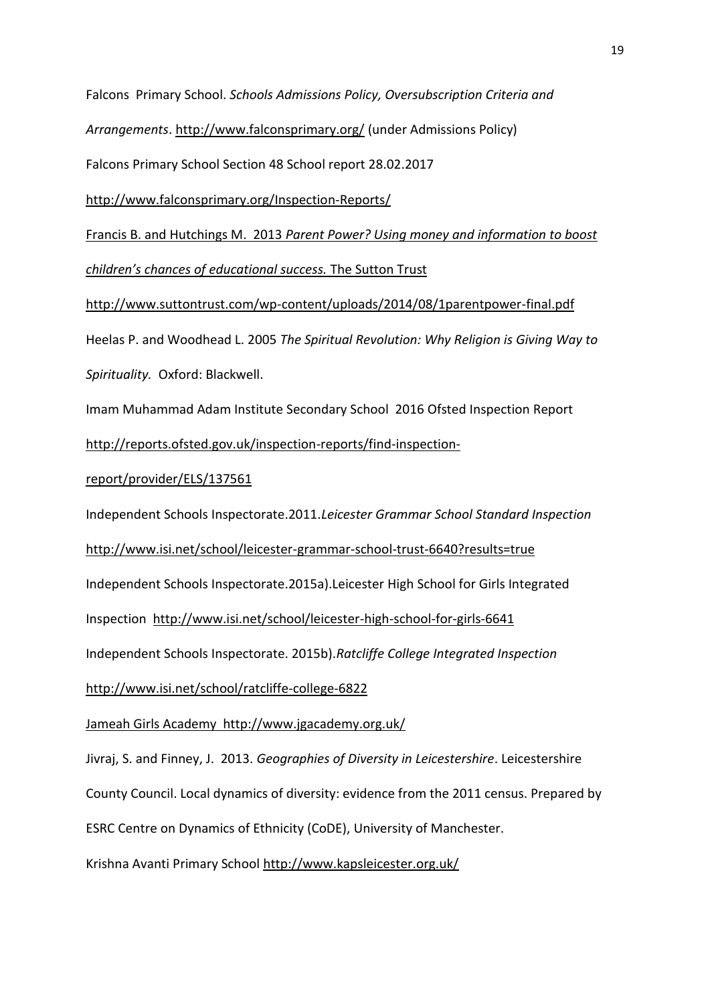Falcons Primary School. *Schools Admissions Policy, Oversubscription Criteria and* 

*Arrangements*.<http://www.falconsprimary.org/> (under Admissions Policy)

Falcons Primary School Section 48 School report 28.02.2017

<http://www.falconsprimary.org/Inspection-Reports/>

Francis B. and Hutchings M. 2013 *Parent Power? Using money and information to boost children's chances of educational success.* The Sutton Trust

<http://www.suttontrust.com/wp-content/uploads/2014/08/1parentpower-final.pdf> Heelas P. and Woodhead L. 2005 *The Spiritual Revolution: Why Religion is Giving Way to Spirituality.* Oxford: Blackwell.

Imam Muhammad Adam Institute Secondary School 2016 Ofsted Inspection Report [http://reports.ofsted.gov.uk/inspection-reports/find-inspection-](http://reports.ofsted.gov.uk/inspection-reports/find-inspection-report/provider/ELS/137561)

[report/provider/ELS/137561](http://reports.ofsted.gov.uk/inspection-reports/find-inspection-report/provider/ELS/137561)

Independent Schools Inspectorate.2011.*Leicester Grammar School Standard Inspection*

<http://www.isi.net/school/leicester-grammar-school-trust-6640?results=true>

Independent Schools Inspectorate.2015a).Leicester High School for Girls Integrated

Inspection <http://www.isi.net/school/leicester-high-school-for-girls-6641>

Independent Schools Inspectorate. 2015b).*Ratcliffe College Integrated Inspection*

<http://www.isi.net/school/ratcliffe-college-6822>

Jameah Girls Academy <http://www.jgacademy.org.uk/>

Jivraj, S. and Finney, J. 2013. *Geographies of Diversity in Leicestershire*. Leicestershire County Council. Local dynamics of diversity: evidence from the 2011 census. Prepared by ESRC Centre on Dynamics of Ethnicity (CoDE), University of Manchester.

Krishna Avanti Primary School<http://www.kapsleicester.org.uk/>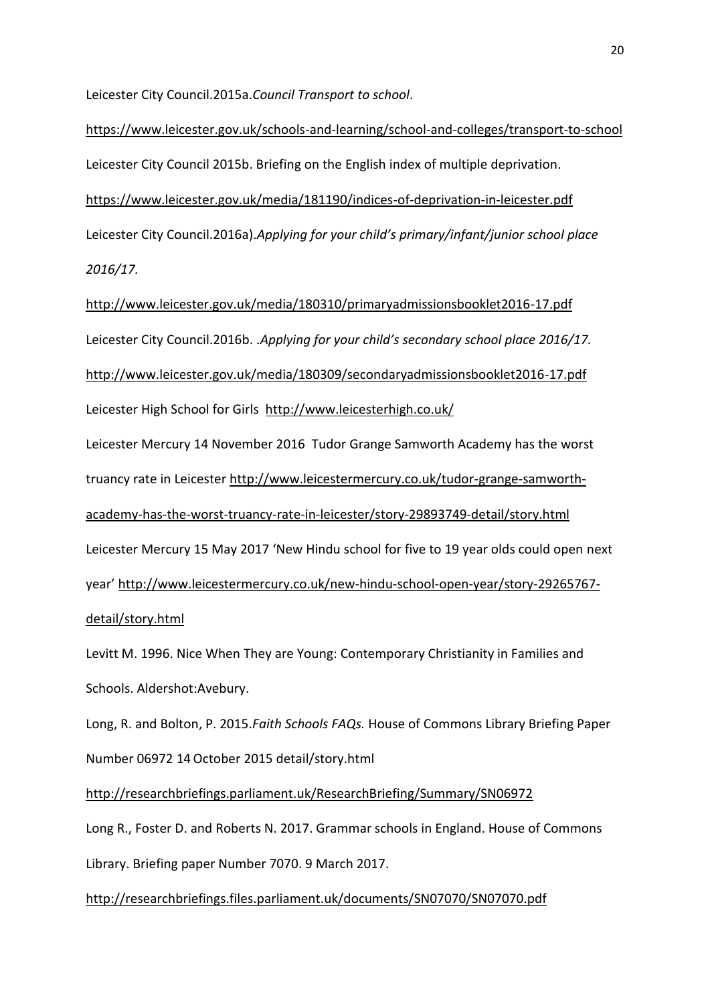Leicester City Council.2015a.*Council Transport to school*.

<https://www.leicester.gov.uk/schools-and-learning/school-and-colleges/transport-to-school> Leicester City Council 2015b. Briefing on the English index of multiple deprivation. <https://www.leicester.gov.uk/media/181190/indices-of-deprivation-in-leicester.pdf> Leicester City Council.2016a).*Applying for your child's primary/infant/junior school place 2016/17.* 

<http://www.leicester.gov.uk/media/180310/primaryadmissionsbooklet2016-17.pdf> Leicester City Council.2016b. .*Applying for your child's secondary school place 2016/17.* <http://www.leicester.gov.uk/media/180309/secondaryadmissionsbooklet2016-17.pdf> Leicester High School for Girls <http://www.leicesterhigh.co.uk/>

Leicester Mercury 14 November 2016 Tudor Grange Samworth Academy has the worst truancy rate in Leicester [http://www.leicestermercury.co.uk/tudor-grange-samworth](http://www.leicestermercury.co.uk/tudor-grange-samworth-academy-has-the-worst-truancy-rate-in-leicester/story-29893749-detail/story.html)[academy-has-the-worst-truancy-rate-in-leicester/story-29893749-detail/story.html](http://www.leicestermercury.co.uk/tudor-grange-samworth-academy-has-the-worst-truancy-rate-in-leicester/story-29893749-detail/story.html) Leicester Mercury 15 May 2017 'New Hindu school for five to 19 year olds could open next year' [http://www.leicestermercury.co.uk/new-hindu-school-open-year/story-29265767](http://www.leicestermercury.co.uk/new-hindu-school-open-year/story-29265767-detail/story.html) [detail/story.html](http://www.leicestermercury.co.uk/new-hindu-school-open-year/story-29265767-detail/story.html)

Levitt M. 1996. Nice When They are Young: Contemporary Christianity in Families and Schools. Aldershot:Avebury.

Long, R. and Bolton, P. 2015.*Faith Schools FAQs.* House of Commons Library Briefing Paper Number 06972 14October 2015 detail/story.html

<http://researchbriefings.parliament.uk/ResearchBriefing/Summary/SN06972>

Long R., Foster D. and Roberts N. 2017. Grammar schools in England. House of Commons Library. Briefing paper Number 7070. 9 March 2017.

<http://researchbriefings.files.parliament.uk/documents/SN07070/SN07070.pdf>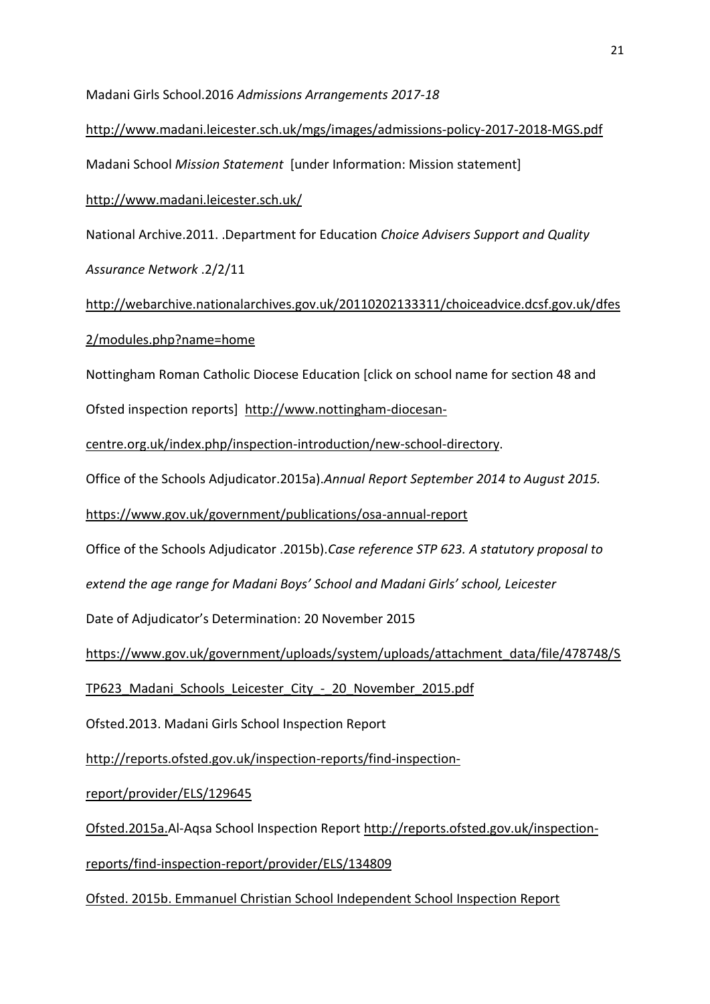Madani Girls School.2016 *Admissions Arrangements 2017-18* 

http://www.madani.leicester.sch.uk/mgs/images/admissions-policy-2017-2018-MGS.pdf Madani School *Mission Statement* [under Information: Mission statement] <http://www.madani.leicester.sch.uk/> National Archive.2011. .Department for Education *Choice Advisers Support and Quality Assurance Network* .2/2/11 [http://webarchive.nationalarchives.gov.uk/20110202133311/choiceadvice.dcsf.gov.uk/dfes](http://webarchive.nationalarchives.gov.uk/20110202133311/choiceadvice.dcsf.gov.uk/dfes2/modules.php?name=home) [2/modules.php?name=home](http://webarchive.nationalarchives.gov.uk/20110202133311/choiceadvice.dcsf.gov.uk/dfes2/modules.php?name=home) Nottingham Roman Catholic Diocese Education [click on school name for section 48 and Ofsted inspection reports] [http://www.nottingham-diocesan](http://www.nottingham-diocesan-centre.org.uk/index.php/inspection-introduction/new-school-directory)[centre.org.uk/index.php/inspection-introduction/new-school-directory.](http://www.nottingham-diocesan-centre.org.uk/index.php/inspection-introduction/new-school-directory) Office of the Schools Adjudicator.2015a).*Annual Report September 2014 to August 2015.* <https://www.gov.uk/government/publications/osa-annual-report> Office of the Schools Adjudicator .2015b).*Case reference STP 623. A statutory proposal to* 

*extend the age range for Madani Boys' School and Madani Girls' school, Leicester*

Date of Adjudicator's Determination: 20 November 2015

[https://www.gov.uk/government/uploads/system/uploads/attachment\\_data/file/478748/S](https://www.gov.uk/government/uploads/system/uploads/attachment_data/file/478748/STP623_Madani_Schools_Leicester_City_-_20_November_2015.pdf)

[TP623\\_Madani\\_Schools\\_Leicester\\_City\\_-\\_20\\_November\\_2015.pdf](https://www.gov.uk/government/uploads/system/uploads/attachment_data/file/478748/STP623_Madani_Schools_Leicester_City_-_20_November_2015.pdf)

Ofsted.2013. Madani Girls School Inspection Report

[http://reports.ofsted.gov.uk/inspection-reports/find-inspection-](http://reports.ofsted.gov.uk/inspection-reports/find-inspection-report/provider/ELS/129645)

[report/provider/ELS/129645](http://reports.ofsted.gov.uk/inspection-reports/find-inspection-report/provider/ELS/129645)

Ofsted.2015a.Al-Aqsa School Inspection Report [http://reports.ofsted.gov.uk/inspection-](http://reports.ofsted.gov.uk/inspection-reports/find-inspection-report/provider/ELS/134809)

[reports/find-inspection-report/provider/ELS/134809](http://reports.ofsted.gov.uk/inspection-reports/find-inspection-report/provider/ELS/134809)

Ofsted. 2015b. Emmanuel Christian School Independent School Inspection Report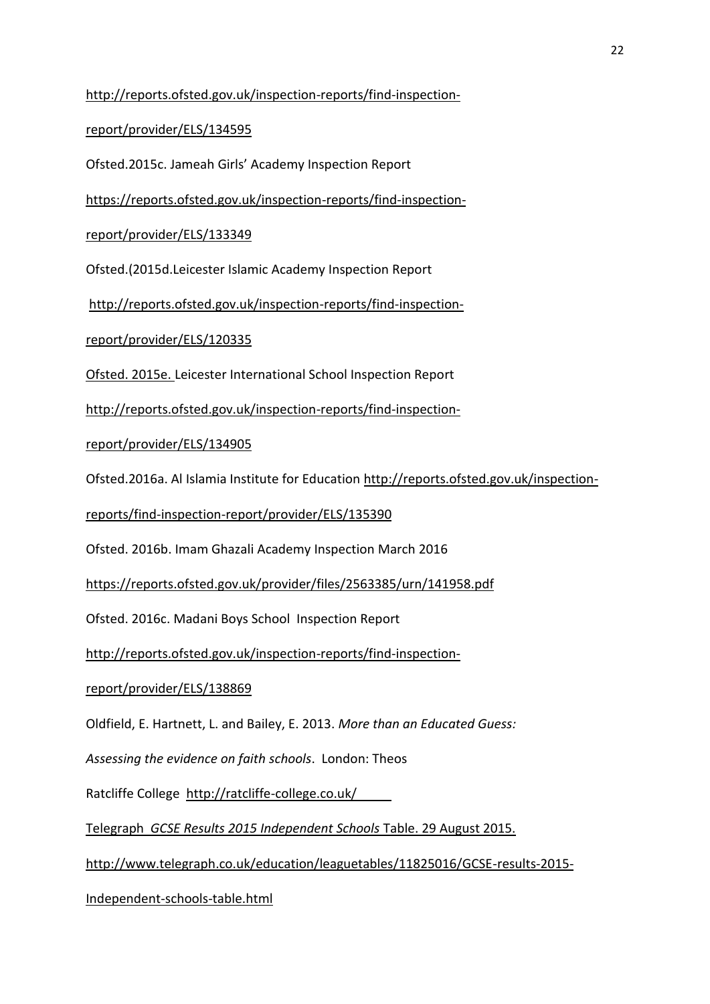[http://reports.ofsted.gov.uk/inspection-reports/find-inspection-](http://reports.ofsted.gov.uk/inspection-reports/find-inspection-report/provider/ELS/134595)

[report/provider/ELS/134595](http://reports.ofsted.gov.uk/inspection-reports/find-inspection-report/provider/ELS/134595)

Ofsted.2015c. Jameah Girls' Academy Inspection Report

[https://reports.ofsted.gov.uk/inspection-reports/find-inspection-](https://reports.ofsted.gov.uk/inspection-reports/find-inspection-report/provider/ELS/133349)

[report/provider/ELS/133349](https://reports.ofsted.gov.uk/inspection-reports/find-inspection-report/provider/ELS/133349)

Ofsted.(2015d.Leicester Islamic Academy Inspection Report

[http://reports.ofsted.gov.uk/inspection-reports/find-inspection-](http://reports.ofsted.gov.uk/inspection-reports/find-inspection-report/provider/ELS/120335)

[report/provider/ELS/120335](http://reports.ofsted.gov.uk/inspection-reports/find-inspection-report/provider/ELS/120335)

Ofsted. 2015e. Leicester International School Inspection Report

[http://reports.ofsted.gov.uk/inspection-reports/find-inspection-](http://reports.ofsted.gov.uk/inspection-reports/find-inspection-report/provider/ELS/134905)

[report/provider/ELS/134905](http://reports.ofsted.gov.uk/inspection-reports/find-inspection-report/provider/ELS/134905)

Ofsted.2016a. Al Islamia Institute for Education [http://reports.ofsted.gov.uk/inspection-](http://reports.ofsted.gov.uk/inspection-reports/find-inspection-report/provider/ELS/135390)

[reports/find-inspection-report/provider/ELS/135390](http://reports.ofsted.gov.uk/inspection-reports/find-inspection-report/provider/ELS/135390)

Ofsted. 2016b. Imam Ghazali Academy Inspection March 2016

<https://reports.ofsted.gov.uk/provider/files/2563385/urn/141958.pdf>

Ofsted. 2016c. Madani Boys School Inspection Report

[http://reports.ofsted.gov.uk/inspection-reports/find-inspection-](http://reports.ofsted.gov.uk/inspection-reports/find-inspection-report/provider/ELS/138869)

[report/provider/ELS/138869](http://reports.ofsted.gov.uk/inspection-reports/find-inspection-report/provider/ELS/138869)

Oldfield, E. Hartnett, L. and Bailey, E. 2013. *More than an Educated Guess:*

*Assessing the evidence on faith schools*. London: Theos

Ratcliffe College <http://ratcliffe-college.co.uk/>

Telegraph *GCSE Results 2015 Independent Schools* Table. 29 August 2015.

[http://www.telegraph.co.uk/education/leaguetables/11825016/GCSE-results-2015-](http://www.telegraph.co.uk/education/leaguetables/11825016/GCSE-results-2015-Independent-schools-table.html)

[Independent-schools-table.html](http://www.telegraph.co.uk/education/leaguetables/11825016/GCSE-results-2015-Independent-schools-table.html)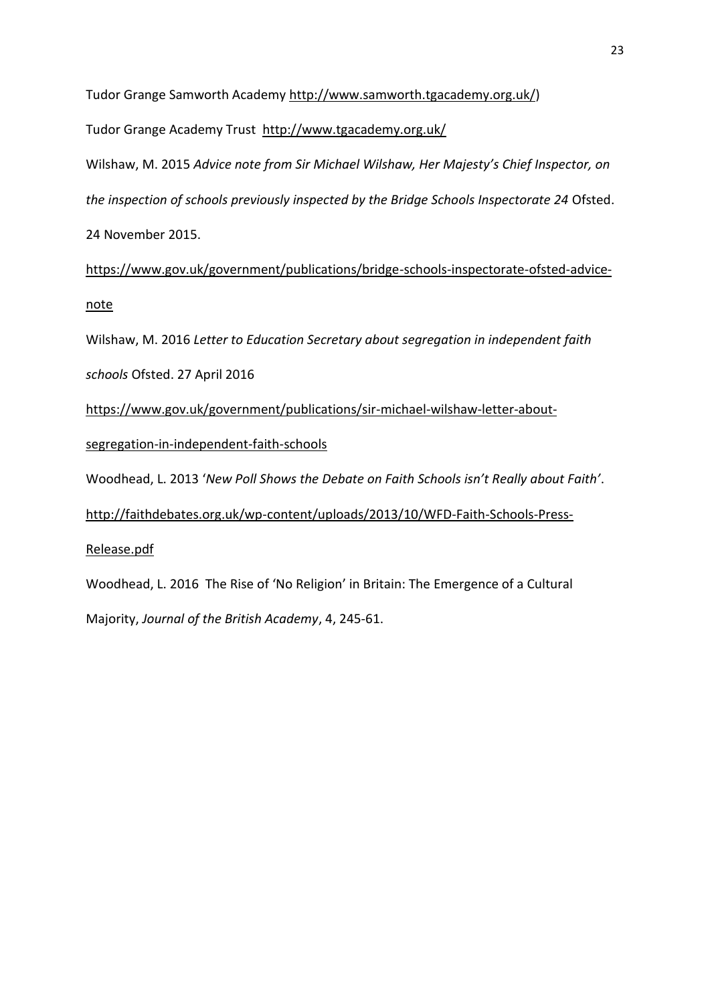Tudor Grange Samworth Academy [http://www.samworth.tgacademy.org.uk/\)](http://www.samworth.tgacademy.org.uk/)

Tudor Grange Academy Trust <http://www.tgacademy.org.uk/>

Wilshaw, M. 2015 *Advice note from Sir Michael Wilshaw, Her Majesty's Chief Inspector, on the inspection of schools previously inspected by the Bridge Schools Inspectorate 24* Ofsted. 24 November 2015.

[https://www.gov.uk/government/publications/bridge-schools-inspectorate-ofsted-advice](https://www.gov.uk/government/publications/bridge-schools-inspectorate-ofsted-advice-note)[note](https://www.gov.uk/government/publications/bridge-schools-inspectorate-ofsted-advice-note)

Wilshaw, M. 2016 *Letter to Education Secretary about segregation in independent faith* 

*schools* Ofsted. 27 April 2016

[https://www.gov.uk/government/publications/sir-michael-wilshaw-letter-about-](https://www.gov.uk/government/publications/sir-michael-wilshaw-letter-about-segregation-in-independent-faith-schools)

[segregation-in-independent-faith-schools](https://www.gov.uk/government/publications/sir-michael-wilshaw-letter-about-segregation-in-independent-faith-schools)

Woodhead, L. 2013 '*New Poll Shows the Debate on Faith Schools isn't Really about Faith'*.

[http://faithdebates.org.uk/wp-content/uploads/2013/10/WFD-Faith-Schools-Press-](http://faithdebates.org.uk/wp-content/uploads/2013/10/WFD-Faith-Schools-Press-Release.pdf)

[Release.pdf](http://faithdebates.org.uk/wp-content/uploads/2013/10/WFD-Faith-Schools-Press-Release.pdf)

Woodhead, L. 2016 The Rise of 'No Religion' in Britain: The Emergence of a Cultural

Majority, *Journal of the British Academy*, 4, 245-61.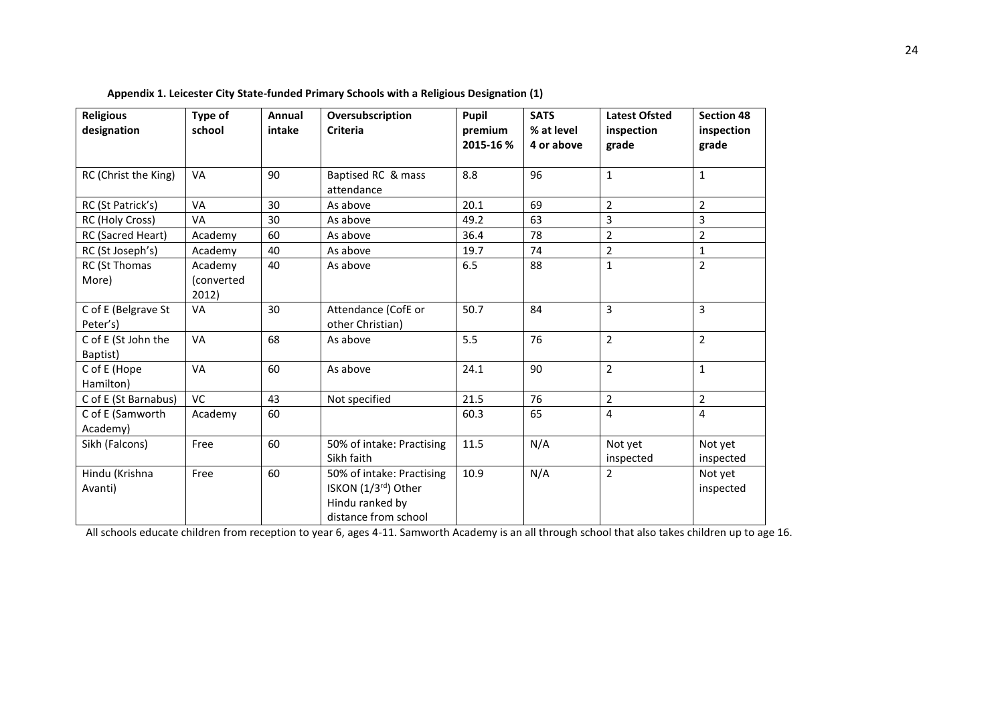| <b>Religious</b><br>designation | Type of<br>school              | Annual<br>intake | Oversubscription<br><b>Criteria</b>                                                         | Pupil<br>premium<br>2015-16% | <b>SATS</b><br>% at level<br>4 or above | <b>Latest Ofsted</b><br>inspection<br>grade | <b>Section 48</b><br>inspection<br>grade |
|---------------------------------|--------------------------------|------------------|---------------------------------------------------------------------------------------------|------------------------------|-----------------------------------------|---------------------------------------------|------------------------------------------|
| RC (Christ the King)            | VA                             | 90               | Baptised RC & mass<br>attendance                                                            | 8.8                          | 96                                      | $\mathbf{1}$                                | $\mathbf{1}$                             |
| RC (St Patrick's)               | <b>VA</b>                      | 30               | As above                                                                                    | 20.1                         | 69                                      | $\overline{2}$                              | $\overline{2}$                           |
| RC (Holy Cross)                 | VA                             | 30               | As above                                                                                    | 49.2                         | 63                                      | 3                                           | 3                                        |
| RC (Sacred Heart)               | Academy                        | 60               | As above                                                                                    | 36.4                         | 78                                      | $\overline{2}$                              | $\overline{2}$                           |
| RC (St Joseph's)                | Academy                        | 40               | As above                                                                                    | 19.7                         | 74                                      | $\overline{2}$                              | 1                                        |
| RC (St Thomas<br>More)          | Academy<br>(converted<br>2012) | 40               | As above                                                                                    | 6.5                          | 88                                      | $\mathbf{1}$                                | $\overline{2}$                           |
| C of E (Belgrave St<br>Peter's) | <b>VA</b>                      | 30               | Attendance (CofE or<br>other Christian)                                                     | 50.7                         | 84                                      | 3                                           | 3                                        |
| C of E (St John the<br>Baptist) | VA                             | 68               | As above                                                                                    | 5.5                          | 76                                      | $\overline{2}$                              | $\overline{2}$                           |
| C of E (Hope<br>Hamilton)       | VA                             | 60               | As above                                                                                    | 24.1                         | 90                                      | $\overline{2}$                              | $\mathbf{1}$                             |
| C of E (St Barnabus)            | <b>VC</b>                      | 43               | Not specified                                                                               | 21.5                         | 76                                      | $\overline{2}$                              | $\overline{2}$                           |
| C of E (Samworth<br>Academy)    | Academy                        | 60               |                                                                                             | 60.3                         | 65                                      | 4                                           | 4                                        |
| Sikh (Falcons)                  | Free                           | 60               | 50% of intake: Practising<br>Sikh faith                                                     | 11.5                         | N/A                                     | Not yet<br>inspected                        | Not yet<br>inspected                     |
| Hindu (Krishna<br>Avanti)       | Free                           | 60               | 50% of intake: Practising<br>ISKON (1/3rd) Other<br>Hindu ranked by<br>distance from school | 10.9                         | N/A                                     | $\overline{2}$                              | Not yet<br>inspected                     |

**Appendix 1. Leicester City State-funded Primary Schools with a Religious Designation (1)**

All schools educate children from reception to year 6, ages 4-11. Samworth Academy is an all through school that also takes children up to age 16.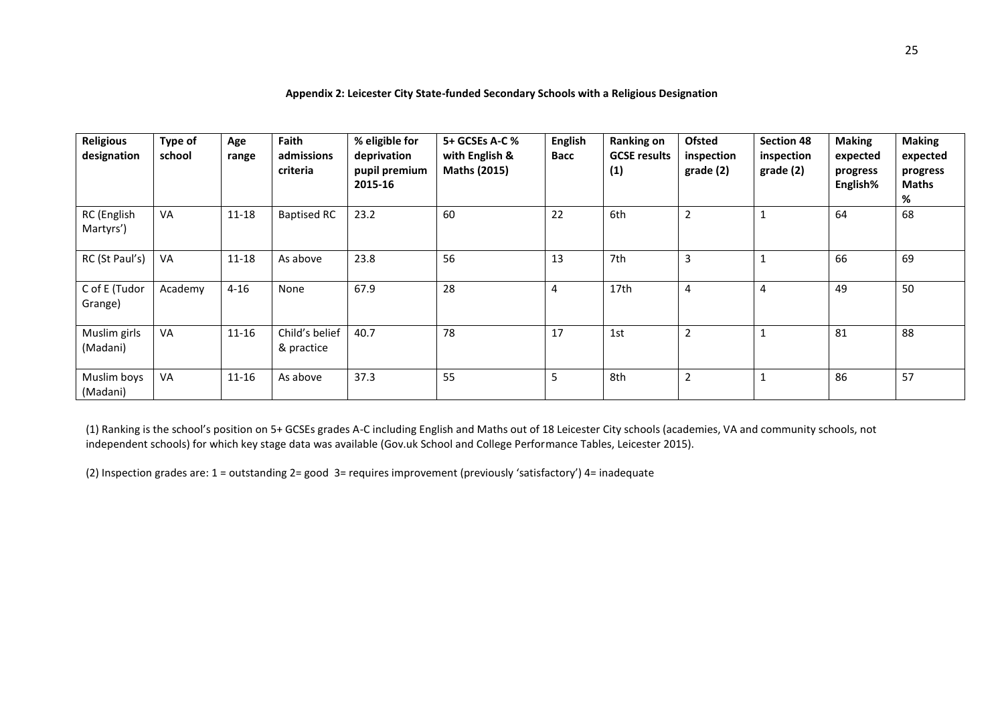| <b>Religious</b><br>designation | Type of<br>school | Age<br>range | Faith<br>admissions<br>criteria | % eligible for<br>deprivation<br>pupil premium<br>2015-16 | 5+ GCSEs A-C %<br>with English &<br><b>Maths (2015)</b> | <b>English</b><br><b>Bacc</b> | <b>Ranking on</b><br><b>GCSE results</b><br>(1) | <b>Ofsted</b><br>inspection<br>grade(2) | <b>Section 48</b><br>inspection<br>grade (2) | <b>Making</b><br>expected<br>progress<br>English% | <b>Making</b><br>expected<br>progress<br><b>Maths</b><br>% |
|---------------------------------|-------------------|--------------|---------------------------------|-----------------------------------------------------------|---------------------------------------------------------|-------------------------------|-------------------------------------------------|-----------------------------------------|----------------------------------------------|---------------------------------------------------|------------------------------------------------------------|
| RC (English<br>Martyrs')        | VA                | $11 - 18$    | <b>Baptised RC</b>              | 23.2                                                      | 60                                                      | 22                            | 6th                                             | $\overline{2}$                          |                                              | 64                                                | 68                                                         |
| RC (St Paul's)                  | VA                | 11-18        | As above                        | 23.8                                                      | 56                                                      | 13                            | 7th                                             | 3                                       |                                              | 66                                                | 69                                                         |
| C of E (Tudor<br>Grange)        | Academy           | $4 - 16$     | None                            | 67.9                                                      | 28                                                      | 4                             | 17th                                            | 4                                       | 4                                            | 49                                                | 50                                                         |
| Muslim girls<br>(Madani)        | VA                | 11-16        | Child's belief<br>& practice    | 40.7                                                      | 78                                                      | 17                            | 1st                                             | $\overline{2}$                          |                                              | 81                                                | 88                                                         |
| Muslim boys<br>(Madani)         | VA                | $11 - 16$    | As above                        | 37.3                                                      | 55                                                      | 5                             | 8th                                             | $\overline{2}$                          |                                              | 86                                                | 57                                                         |

#### **Appendix 2: Leicester City State-funded Secondary Schools with a Religious Designation**

(1) Ranking is the school's position on 5+ GCSEs grades A-C including English and Maths out of 18 Leicester City schools (academies, VA and community schools, not independent schools) for which key stage data was available (Gov.uk School and College Performance Tables, Leicester 2015).

(2) Inspection grades are: 1 = outstanding 2= good 3= requires improvement (previously 'satisfactory') 4= inadequate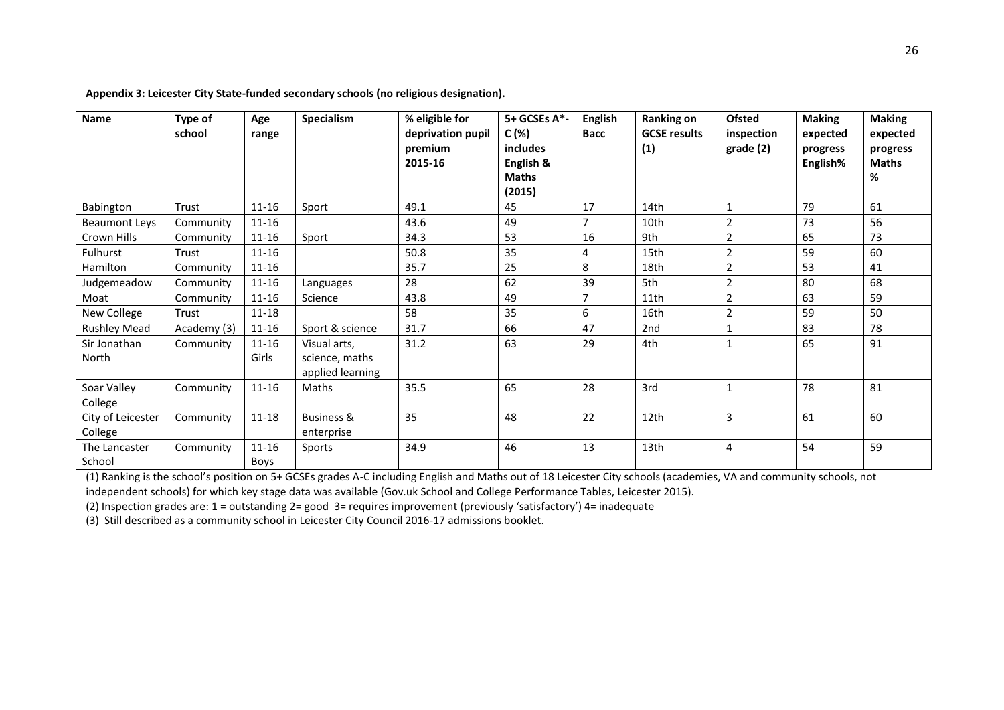| Name                         | Type of<br>school | Age<br>range       | Specialism                                         | % eligible for<br>deprivation pupil<br>premium<br>2015-16 | 5+ GCSEs A*-<br>C(%)<br>includes<br>English &<br><b>Maths</b> | <b>English</b><br><b>Bacc</b> | Ranking on<br><b>GCSE results</b><br>(1) | <b>Ofsted</b><br>inspection<br>grade(2) | <b>Making</b><br>expected<br>progress<br>English% | <b>Making</b><br>expected<br>progress<br><b>Maths</b><br>% |
|------------------------------|-------------------|--------------------|----------------------------------------------------|-----------------------------------------------------------|---------------------------------------------------------------|-------------------------------|------------------------------------------|-----------------------------------------|---------------------------------------------------|------------------------------------------------------------|
|                              |                   |                    |                                                    |                                                           | (2015)                                                        |                               |                                          |                                         |                                                   |                                                            |
| Babington                    | Trust             | $11 - 16$          | Sport                                              | 49.1                                                      | 45                                                            | 17                            | 14th                                     | $\mathbf{1}$                            | 79                                                | 61                                                         |
| <b>Beaumont Leys</b>         | Community         | $11 - 16$          |                                                    | 43.6                                                      | 49                                                            | $\overline{7}$                | 10th                                     | $\overline{2}$                          | 73                                                | 56                                                         |
| Crown Hills                  | Community         | $11 - 16$          | Sport                                              | 34.3                                                      | 53                                                            | 16                            | 9th                                      | $\overline{2}$                          | 65                                                | 73                                                         |
| Fulhurst                     | Trust             | $11 - 16$          |                                                    | 50.8                                                      | 35                                                            | 4                             | 15th                                     | $\overline{2}$                          | 59                                                | 60                                                         |
| Hamilton                     | Community         | $11 - 16$          |                                                    | 35.7                                                      | 25                                                            | 8                             | 18th                                     | $\overline{2}$                          | 53                                                | 41                                                         |
| Judgemeadow                  | Community         | $11 - 16$          | Languages                                          | 28                                                        | 62                                                            | 39                            | 5th                                      | $\overline{2}$                          | 80                                                | 68                                                         |
| Moat                         | Community         | $11 - 16$          | Science                                            | 43.8                                                      | 49                                                            | $\overline{7}$                | 11th                                     | $\overline{2}$                          | 63                                                | 59                                                         |
| New College                  | Trust             | $11 - 18$          |                                                    | 58                                                        | 35                                                            | 6                             | 16th                                     | $\overline{2}$                          | 59                                                | 50                                                         |
| <b>Rushley Mead</b>          | Academy (3)       | $11 - 16$          | Sport & science                                    | 31.7                                                      | 66                                                            | 47                            | 2nd                                      |                                         | 83                                                | 78                                                         |
| Sir Jonathan<br>North        | Community         | $11 - 16$<br>Girls | Visual arts,<br>science, maths<br>applied learning | 31.2                                                      | 63                                                            | 29                            | 4th                                      | 1                                       | 65                                                | 91                                                         |
| Soar Valley<br>College       | Community         | $11 - 16$          | Maths                                              | 35.5                                                      | 65                                                            | 28                            | 3rd                                      | $\mathbf{1}$                            | 78                                                | 81                                                         |
| City of Leicester<br>College | Community         | $11 - 18$          | <b>Business &amp;</b><br>enterprise                | 35                                                        | 48                                                            | 22                            | 12th                                     | 3                                       | 61                                                | 60                                                         |
| The Lancaster<br>School      | Community         | $11 - 16$<br>Boys  | Sports                                             | 34.9                                                      | 46                                                            | 13                            | 13th                                     | 4                                       | 54                                                | 59                                                         |

**Appendix 3: Leicester City State-funded secondary schools (no religious designation).**

(1) Ranking is the school's position on 5+ GCSEs grades A-C including English and Maths out of 18 Leicester City schools (academies, VA and community schools, not independent schools) for which key stage data was available (Gov.uk School and College Performance Tables, Leicester 2015).

(2) Inspection grades are: 1 = outstanding 2= good 3= requires improvement (previously 'satisfactory') 4= inadequate

(3) Still described as a community school in Leicester City Council 2016-17 admissions booklet.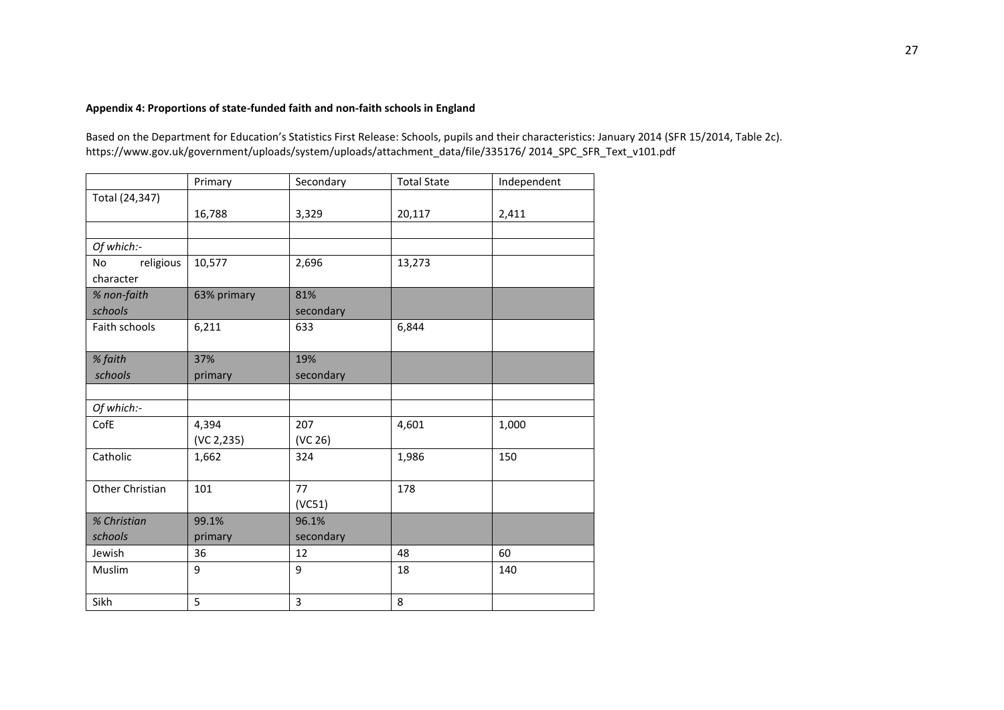#### **Appendix 4: Proportions of state-funded faith and non-faith schools in England**

Based on the Department for Education's Statistics First Release: Schools, pupils and their characteristics: January 2014 (SFR 15/2014, Table 2c). https://www.gov.uk/government/uploads/system/uploads/attachment\_data/file/335176/ 2014\_SPC\_SFR\_Text\_v101.pdf

|                 | Primary     | Secondary | <b>Total State</b> | Independent |
|-----------------|-------------|-----------|--------------------|-------------|
| Total (24,347)  |             |           |                    |             |
|                 | 16,788      | 3,329     | 20,117             | 2,411       |
|                 |             |           |                    |             |
| Of which:-      |             |           |                    |             |
| religious<br>No | 10,577      | 2,696     | 13,273             |             |
| character       |             |           |                    |             |
| % non-faith     | 63% primary | 81%       |                    |             |
| schools         |             | secondary |                    |             |
| Faith schools   | 6,211       | 633       | 6,844              |             |
|                 |             |           |                    |             |
| % faith         | 37%         | 19%       |                    |             |
| schools         | primary     | secondary |                    |             |
|                 |             |           |                    |             |
| Of which:-      |             |           |                    |             |
| CofE            | 4,394       | 207       | 4,601              | 1,000       |
|                 | (VC 2, 235) | (VC 26)   |                    |             |
| Catholic        | 1,662       | 324       | 1,986              | 150         |
|                 |             |           |                    |             |
| Other Christian | 101         | 77        | 178                |             |
|                 |             | (VC51)    |                    |             |
| % Christian     | 99.1%       | 96.1%     |                    |             |
| schools         | primary     | secondary |                    |             |
| Jewish          | 36          | 12        | 48                 | 60          |
| Muslim          | 9           | 9         | 18                 | 140         |
|                 |             |           |                    |             |
| Sikh            | 5           | 3         | 8                  |             |